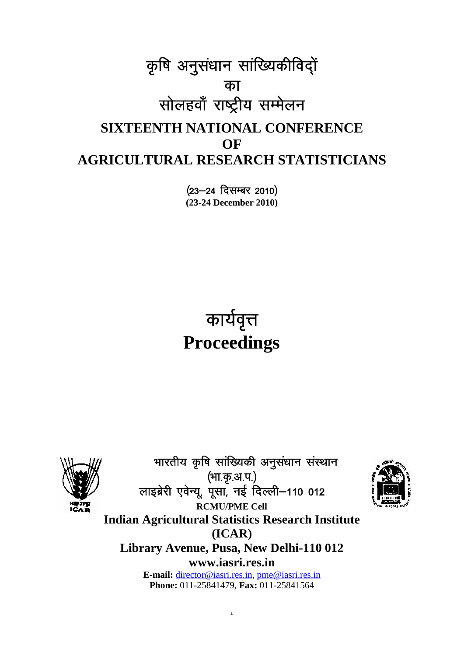# कृषि अनुसंधान सांख्यिकीविद्ों<br>"का<br>सोलहवाँ राष्ट्रीय सम्मेलन <u>का</u> सोलहवाँ राष्ट्रीय सम्मेलन **SIXTEENTH NATIONAL CONFERENCE OF AGRICULTURAL RESEARCH STATISTICIANS**

(23-24 दिसम्बर 2010) **(23-24 December 2010)**

## <u>कार्यवृत्त</u> **Proceedings**



भारतीय कृषि सांख्यिकी अनुसंधान संस्थान<br>भारतीय कृषि सांख्यिकी अनुसंधान संस्थान<br>स्बेरी एवेन्य पसा नर्ड दिल्ली—110 012 ्भा.कृ.अ.प.)<br>लाइब्रेरी एवेन्यू, पूसा, नई दिल्ली–110 012 भारतीय कृषि सांख्यिकी अनुसंधान संस्थान **RCMU/PME Cell Indian Agricultural Statistics Research Institute (ICAR) Library Avenue, Pusa, New Delhi-110 012 www.iasri.res.in E-mail:** director@iasri.res.in, pme@iasri.res.in **Phone:** 011-25841479, **Fax:** 011-25841564

1

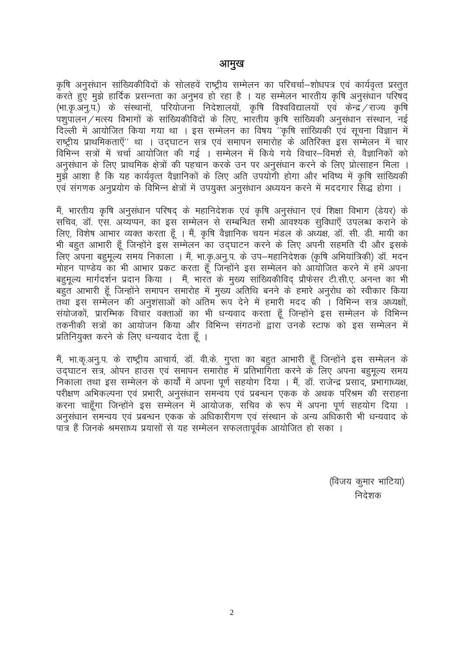**आमुख<br>कृ**षि अनुसंधान सांख्यिकीविदों के सोलहवें राष्ट्रीय सम्मेलन का परिचर्चा—शोधपत्र एवं कार्यवृत्त प्रस्तुत<br>करते हुए मुझे हार्दिक प्रसन्नता का अनुभव हो रहा है । यह सम्मेलन भारतीय कृषि अनुसंधान परिषद्<br>(भाक्र अन् प्र ) के कृषि अनुसंधान सांख्यिकीविदों के सोलहवें राष्ट्रीय सम्मेलन का परिचर्चा—शोधपत्र एवं कार्यवृत्त प्रस्तुत<br>करते हुए मुझे हार्दिक प्रसन्नता का अनुभव हो रहा है । यह सम्मेलन भारतीय कृषि अनुसंधान परिषद्<br>(भा.कृ.अनु.प.) के संस्थान ै कृषि अनुसंधान सांख्यिकीविदों के सोलहवें राष्ट्रीय सम्मेलन का परिचर्चा—शोधपत्र एवं कार्यवृत्त प्रस्तुत<br>करते हुए मुझे हार्दिक प्रसन्नता का अनुभव हो रहा है । यह सम्मेलन भारतीय कृषि अनुसंधान परिषद्<br>(भा.कृ.अनु.प.) के संस्थ कृषि अनुसंधान सांख्यिकीविदों के सोलहवें राष्ट्रीय सम्मेलन का परिचर्चा—शोधपत्र एवं कार्यवृत्त प्रस्तुत<br>करते हुए मुझे हार्दिक प्रसन्नता का अनुभव हो रहा है । यह सम्मेलन भारतीय कृषि अनुसंधान परिषद्<br>(भा.कृ.अनु.प.) के संस्थान कृषि अनुसंधान सांख्यिकीविदों के सोलहवें राष्ट्रीय सम्मेलन का परिचर्चा—शोधपत्र एवं कार्यवृत्त प्रस्तुत<br>करते हुए मुझे हार्दिक प्रसन्नता का अनुभव हो रहा है । यह सम्मेलन भारतीय कृषि अनुसंधान परिषद्<br>(भा.कृ.अनु.प.) के संस्थान कृषि अनुसंधान सांख्यिकीविदों के सोलहवें राष्ट्रीय सम्मेलन का परिचर्चा—शोधपत्र एवं कार्यवृत्त प्रस्तुत<br>करते हुए मुझे हार्दिक प्रसन्नता का अनुभव हो रहा है । यह सम्मेलन भारतीय कृषि अनुसंधान परिषद्<br>(भा.कृ.अनु.प.) के संस्थान विभिन्न सत्रों में चर्चा आयोजित की गई । सम्मेलन में किये गये विचार–विमर्श से, वैज्ञानिकों को ं … इ. उ. जिल्ला का सार कर लिये का सिदेशालयों, कृषि विश्वविद्यालयों एवं केन्द्र / राज्य कृषि<br>(भा.कृ.अनु.प.) के संस्थानों, परियोजना निदेशालयों, कृषि विश्वविद्यालयों एवं केन्द्र / राज्य कृषि<br>पशुपालन / मत्स्य विभागों के सांख eq>s vk'kk gS fd ;g dk;Zo`Rr oSKkfudksa d s fy, vfr mi;ksxh gksxk vkSj Hkfo"; esa Ñf"k lkaf[;dh दिल्ली में आयोजित किया गया था । इस सम्मेलन का विषय "कृषि सांख्यिकी एवं सूचना विज्ञान में राएट्रीय प्राथमिकताएँ" था । उद्घाटन सत्र एवं समापन समारोह के अतिरिक्त इस सम्मेलन में चार<br>विभिन्न सत्रों में चर्चा आयोजित की गई । सम् eS a] Hkkjrh; Ñf"k vuqla/kku ifj"kn ~ ds egkfun s'kd ,oa Ñf"k vu qla/kku ,oa f'k{kk foHkkx ¼M s;j½ ds

ंग संस्थान के लिए प्राथमिक क्षेत्रों की पहचान करके उन पर अनुसंधान करने के लिए प्रोत्साहन मिला ।<br>अनुसंधान के लिए प्राथमिक क्षेत्रों की पहचान करके उन पर अनुसंधान करने के लिए प्रोत्साहन मिला ।<br>मुझे आशा है कि यह कार्यवृत्त वै न्मुः मान का साल का साल के लिए अति उपयोगी होगा और भविष्य में कृषि सांख्यिकी मुझे आशा है कि यह कार्यवृत्त वैज्ञानिकों के लिए अति उपयोगी होगा और भविष्य में कृषि सांख्यिकी एवं संगणक अनुप्रयोग के विभिन्न क्षेत्रों में उपयुक्त र्स गाला है अपना का गर साथ का साथ करने का साथ करने के साथ करने में मददगार सिद्ध होगा ।<br>एवं संगणक अनुप्रयोग के विभिन्न क्षेत्रों में उपयुक्त अनुसंधान अध्ययन करने में मददगार सिद्ध होगा ।<br>सै भारतीय कृषि अनुसंधान परिषद् के मह र स्वराय का स्वराय का स्वराय का स्वराय के पहले से स्वराय का स्वराय का स्वराय का स्वराय का अपने स्वराय करने के<br>मैं, भारतीय कृषि अनुसंधान परिषद् के महानिदेशक एवं कृषि अनुसंधान एवं शिक्षा विभाग (डेयर) के<br>सचिव, डॉ. एस. अय्यप् मैं, भारतीय कृषि अनुसंधान परिषद् के महानिदेशक एवं कृषि अनुसंधान एवं शिक्षा विभाग (डेयर) के<br>सचिव, डॉ. एस. अय्यप्पन, का इस सम्मेलन से सम्बन्धित सभी आवश्यक सुविधाएँ उपलब्ध कराने के<br>लिए, विशेष आभार व्यक्त करता हूँ । मैं, कृषि ं सचिव, डॉ. एस. अय्यप्पन, का इस सम्मेलन से सम्बन्धित सभी आवश्यक सुविधाएँ उपलब्ध कराने के<br>सचिव, डॉ. एस. अय्यप्पन, का इस सम्मेलन से सम्बन्धित सभी आवश्यक सुविधाएँ उपलब्ध कराने के<br>लिए, विशेष आभार व्यक्त करता हूँ । मैं, कृषि व ं लेए, विशेष आभार व्यक्त करता हूँ । मैं, कृषि वैज्ञानिक चयन मंडल के अध्यक्ष, डॉ. सी. डी. मायी का<br>सी बहुत आभारी हूँ जिन्होंने इस सम्मेलन का उद्घाटन करने के लिए अपनी सहमति दी और इसके<br>सी बहुत आभारी हूँ जिन्होंने इस सम्मेलन क rFkk bl lEesyu dh vu q'kalkvksa dks vafre :i n su s esa gekjh enn dh A fofHkUu l= v/;{kksa] l a;kstdksa] izkjfEHkd fopkj oDrkvksa dk Hkh /kU;okn djrk gw¡ ftUgksau s bl lEesyu ds fofHkUu तकनीकी सत्रों का आयोजन किया और विभिन्न संगठनों द्वारा उनके स्टाफ को इस सम्मेलन में ाउन मार्गदर्शन प्रचार क्राम्प्ट माला दून जाला मुख<br>बहुत आभारी हूँ जिन्होंने समापन समारोह में मुख्य द<br>तथा इस सम्मेलन की अनुशंसाओं को अंतिम रूप<br>संयोजकों, प्रारम्भिक विचार वक्ताओं का भी धन्यव<br>तकनीकी सत्रों का आयोजन किया और वि बहुत आभारी हूँ जिन्होंने समापन समारोह में मुख्य अतिथि बनने के हमारे अनुरोध को स्वीकार किया<br>तथा इस सम्मेलन की अनुशंसाओं को अंतिम रूप देने में हमारी मदद की । विभिन्न सत्र अध्यक्षों,<br>संयोजकों, प्रारम्भिक विचार वक्ताओं का भी

संयोजकों, प्रारम्भिक विचार वक्ताओं का भी धन्यवाद करता हूँ जिन्होंने इस सम्मेलन के विभिन्न<br>तकनीकी सत्रों का आयोजन किया और विभिन्न संगठनों द्वारा उनके स्टाफ को इस सम्मेलन में<br>प्रतिनियुक्त करने के लिए धन्यवाद देता हूँ ।<br>मैं, <u>निकाला तथा इस सम्मेलन के कार्यों में अपना पूर्ण सहयोग दिया । मैं, डॉ. राजेन्द्र प्रसाद, प्रभागाध्यक्ष,</u> ंग मान सम्मा का भारता का मान का साथ के साथ मान के साथ का रहनके मार से सम्माल करने के लिए धन्यवाद देता हूँ ।<br>प्रतिनियुक्त करने के लिए धन्यवाद देता हूँ ।<br>उद्घाटन सत्र, ओपन हाउस एवं समापन समारोह में प्रतिभागिता करने के लिए अ ग्रस्तानपुरस कर सार स्वास्थ स्वास्थ स्वास्थ स्वास्थ को बहुत आभारी हूँ जिन्होंने इस सम्मेलन के<br>मैं, भा.कृ.अनु.प. के राष्ट्रीय आचार्य, डॉ. वी.के. गुप्ता का बहुत आभारी हूँ जिन्होंने इस सम्मेलन के<br>उद्घाटन सत्र, ओपन हाउस एवं स मैं, भा.कृ.अनु.प. के राष्ट्रीय आचार्य, डॉ. वी.के. गुप्ता का बहुत आभारी हूँ जिन्होंने इस सम्मेलन के<br>उद्घाटन सत्र, ओपन हाउस एवं समापन समारोह में प्रतिभागिता करने के लिए अपना बहुमूल्य समय<br>निकाला तथा इस सम्मेलन के कार्यों में ik= gS a ftuds Jelk/; iz;klksa ls ;g lEesyu lQyrkiwoZd vk;ksftr gks ldk A

धिकारा भा धन्यवाद क<br>ज्ञ ।<br>(विजय कुमार भाटिया)<br>निदेशक कुमार भाटिया)<br>निदेशक<br>निदेशक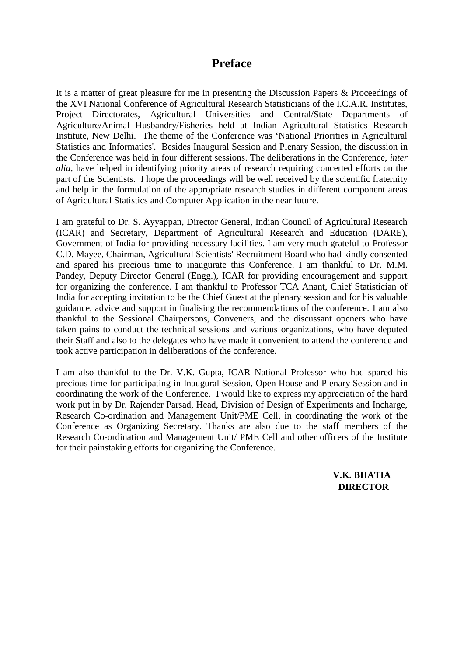### **Preface**

It is a matter of great pleasure for me in presenting the Discussion Papers & Proceedings of the XVI National Conference of Agricultural Research Statisticians of the I.C.A.R. Institutes, Project Directorates, Agricultural Universities and Central/State Departments of Agriculture/Animal Husbandry/Fisheries held at Indian Agricultural Statistics Research Institute, New Delhi. The theme of the Conference was 'National Priorities in Agricultural Statistics and Informatics'. Besides Inaugural Session and Plenary Session, the discussion in the Conference was held in four different sessions. The deliberations in the Conference, *inter alia,* have helped in identifying priority areas of research requiring concerted efforts on the part of the Scientists. I hope the proceedings will be well received by the scientific fraternity and help in the formulation of the appropriate research studies in different component areas of Agricultural Statistics and Computer Application in the near future.

I am grateful to Dr. S. Ayyappan, Director General, Indian Council of Agricultural Research (ICAR) and Secretary, Department of Agricultural Research and Education (DARE), Government of India for providing necessary facilities. I am very much grateful to Professor C.D. Mayee, Chairman, Agricultural Scientists' Recruitment Board who had kindly consented and spared his precious time to inaugurate this Conference. I am thankful to Dr. M.M. Pandey, Deputy Director General (Engg.), ICAR for providing encouragement and support for organizing the conference. I am thankful to Professor TCA Anant, Chief Statistician of India for accepting invitation to be the Chief Guest at the plenary session and for his valuable guidance, advice and support in finalising the recommendations of the conference. I am also thankful to the Sessional Chairpersons, Conveners, and the discussant openers who have taken pains to conduct the technical sessions and various organizations, who have deputed their Staff and also to the delegates who have made it convenient to attend the conference and took active participation in deliberations of the conference.

I am also thankful to the Dr. V.K. Gupta, ICAR National Professor who had spared his precious time for participating in Inaugural Session, Open House and Plenary Session and in coordinating the work of the Conference. I would like to express my appreciation of the hard work put in by Dr. Rajender Parsad, Head, Division of Design of Experiments and Incharge, Research Co-ordination and Management Unit/PME Cell, in coordinating the work of the Conference as Organizing Secretary. Thanks are also due to the staff members of the Research Co-ordination and Management Unit/ PME Cell and other officers of the Institute for their painstaking efforts for organizing the Conference.

> **V.K. BHATIA DIRECTOR**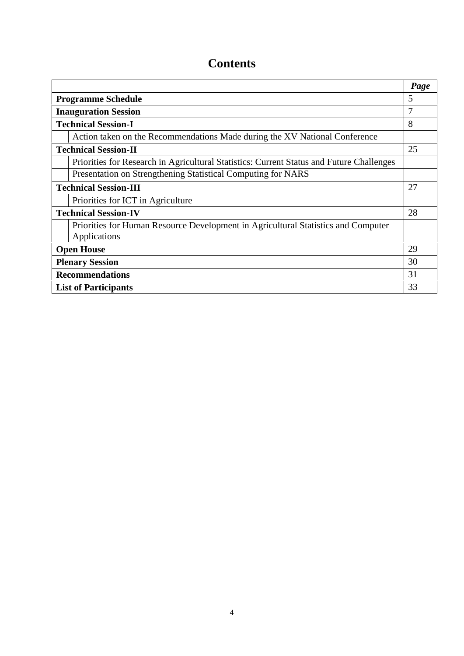## **Contents**

|                                                                                                   | Page |
|---------------------------------------------------------------------------------------------------|------|
| <b>Programme Schedule</b>                                                                         | 5    |
| <b>Inauguration Session</b>                                                                       | 7    |
| <b>Technical Session-I</b>                                                                        | 8    |
| Action taken on the Recommendations Made during the XV National Conference                        |      |
| <b>Technical Session-II</b>                                                                       | 25   |
| Priorities for Research in Agricultural Statistics: Current Status and Future Challenges          |      |
| Presentation on Strengthening Statistical Computing for NARS                                      |      |
| <b>Technical Session-III</b>                                                                      | 27   |
| Priorities for ICT in Agriculture                                                                 |      |
| <b>Technical Session-IV</b>                                                                       | 28   |
| Priorities for Human Resource Development in Agricultural Statistics and Computer<br>Applications |      |
| <b>Open House</b>                                                                                 | 29   |
| <b>Plenary Session</b>                                                                            | 30   |
| <b>Recommendations</b>                                                                            | 31   |
| <b>List of Participants</b>                                                                       | 33   |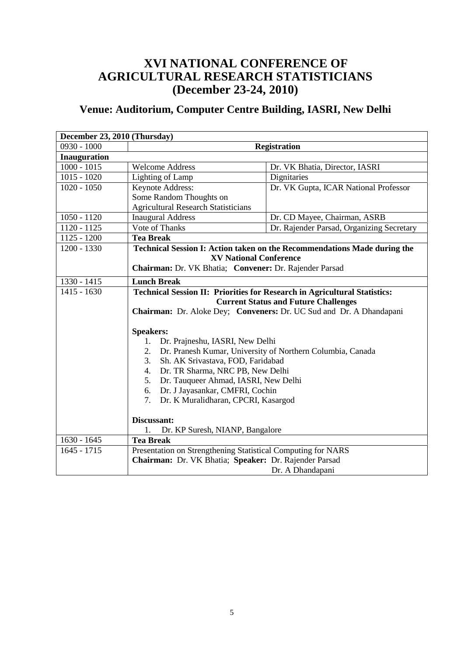## **XVI NATIONAL CONFERENCE OF AGRICULTURAL RESEARCH STATISTICIANS (December 23-24, 2010)**

## **Venue: Auditorium, Computer Centre Building, IASRI, New Delhi**

| December 23, 2010 (Thursday) |                                                              |                                                                                  |
|------------------------------|--------------------------------------------------------------|----------------------------------------------------------------------------------|
| $0930 - 1000$                |                                                              | <b>Registration</b>                                                              |
| <b>Inauguration</b>          |                                                              |                                                                                  |
| $1000 - 1015$                | <b>Welcome Address</b>                                       | Dr. VK Bhatia, Director, IASRI                                                   |
| $1015 - 1020$                | Lighting of Lamp                                             | Dignitaries                                                                      |
| $1020 - 1050$                | Keynote Address:                                             | Dr. VK Gupta, ICAR National Professor                                            |
|                              | Some Random Thoughts on                                      |                                                                                  |
|                              | <b>Agricultural Research Statisticians</b>                   |                                                                                  |
| $1050 - 1120$                | <b>Inaugural Address</b>                                     | Dr. CD Mayee, Chairman, ASRB                                                     |
| 1120 - 1125                  | Vote of Thanks                                               | Dr. Rajender Parsad, Organizing Secretary                                        |
| $1125 - 1200$                | <b>Tea Break</b>                                             |                                                                                  |
| 1200 - 1330                  |                                                              | Technical Session I: Action taken on the Recommendations Made during the         |
|                              | <b>XV National Conference</b>                                |                                                                                  |
|                              | Chairman: Dr. VK Bhatia; Convener: Dr. Rajender Parsad       |                                                                                  |
| 1330 - 1415                  | <b>Lunch Break</b>                                           |                                                                                  |
| $1415 - 1630$                |                                                              | <b>Technical Session II: Priorities for Research in Agricultural Statistics:</b> |
|                              |                                                              | <b>Current Status and Future Challenges</b>                                      |
|                              |                                                              | Chairman: Dr. Aloke Dey; Conveners: Dr. UC Sud and Dr. A Dhandapani              |
|                              |                                                              |                                                                                  |
|                              | <b>Speakers:</b>                                             |                                                                                  |
|                              | 1. Dr. Prajneshu, IASRI, New Delhi                           |                                                                                  |
|                              | 2.                                                           | Dr. Pranesh Kumar, University of Northern Columbia, Canada                       |
|                              | 3.<br>Sh. AK Srivastava, FOD, Faridabad                      |                                                                                  |
|                              | Dr. TR Sharma, NRC PB, New Delhi<br>4.                       |                                                                                  |
|                              | Dr. Tauqueer Ahmad, IASRI, New Delhi<br>5.                   |                                                                                  |
|                              | 6. Dr. J Jayasankar, CMFRI, Cochin                           |                                                                                  |
|                              | 7. Dr. K Muralidharan, CPCRI, Kasargod                       |                                                                                  |
|                              |                                                              |                                                                                  |
|                              | Discussant:                                                  |                                                                                  |
|                              | 1.<br>Dr. KP Suresh, NIANP, Bangalore                        |                                                                                  |
| $1630 - 1645$                | <b>Tea Break</b>                                             |                                                                                  |
| $1645 - 1715$                | Presentation on Strengthening Statistical Computing for NARS |                                                                                  |
|                              | Chairman: Dr. VK Bhatia; Speaker: Dr. Rajender Parsad        |                                                                                  |
|                              |                                                              | Dr. A Dhandapani                                                                 |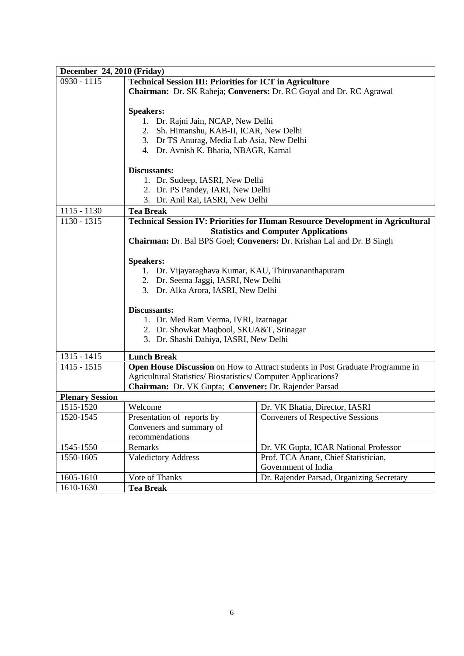| December 24, 2010 (Friday) |                                                                     |                                                                                        |  |
|----------------------------|---------------------------------------------------------------------|----------------------------------------------------------------------------------------|--|
| $0930 - 1115$              | <b>Technical Session III: Priorities for ICT in Agriculture</b>     |                                                                                        |  |
|                            | Chairman: Dr. SK Raheja; Conveners: Dr. RC Goyal and Dr. RC Agrawal |                                                                                        |  |
|                            |                                                                     |                                                                                        |  |
|                            | <b>Speakers:</b>                                                    |                                                                                        |  |
|                            | 1. Dr. Rajni Jain, NCAP, New Delhi                                  |                                                                                        |  |
|                            | 2. Sh. Himanshu, KAB-II, ICAR, New Delhi                            |                                                                                        |  |
|                            | 3. Dr TS Anurag, Media Lab Asia, New Delhi                          |                                                                                        |  |
|                            | 4. Dr. Avnish K. Bhatia, NBAGR, Karnal                              |                                                                                        |  |
|                            | Discussants:                                                        |                                                                                        |  |
|                            | 1. Dr. Sudeep, IASRI, New Delhi                                     |                                                                                        |  |
|                            | 2. Dr. PS Pandey, IARI, New Delhi                                   |                                                                                        |  |
|                            | 3. Dr. Anil Rai, IASRI, New Delhi                                   |                                                                                        |  |
| $1115 - 1130$              | <b>Tea Break</b>                                                    |                                                                                        |  |
| 1130 - 1315                |                                                                     | <b>Technical Session IV: Priorities for Human Resource Development in Agricultural</b> |  |
|                            |                                                                     | <b>Statistics and Computer Applications</b>                                            |  |
|                            |                                                                     | Chairman: Dr. Bal BPS Goel; Conveners: Dr. Krishan Lal and Dr. B Singh                 |  |
|                            |                                                                     |                                                                                        |  |
|                            | <b>Speakers:</b>                                                    |                                                                                        |  |
|                            | 1. Dr. Vijayaraghava Kumar, KAU, Thiruvananthapuram                 |                                                                                        |  |
|                            | 2. Dr. Seema Jaggi, IASRI, New Delhi                                |                                                                                        |  |
|                            | 3. Dr. Alka Arora, IASRI, New Delhi                                 |                                                                                        |  |
|                            | Discussants:                                                        |                                                                                        |  |
|                            | 1. Dr. Med Ram Verma, IVRI, Izatnagar                               |                                                                                        |  |
|                            | 2. Dr. Showkat Maqbool, SKUA&T, Srinagar                            |                                                                                        |  |
|                            | 3. Dr. Shashi Dahiya, IASRI, New Delhi                              |                                                                                        |  |
|                            |                                                                     |                                                                                        |  |
| $1315 - 1415$              | <b>Lunch Break</b>                                                  |                                                                                        |  |
| $1415 - 1515$              |                                                                     | Open House Discussion on How to Attract students in Post Graduate Programme in         |  |
|                            | Agricultural Statistics/ Biostatistics/ Computer Applications?      |                                                                                        |  |
|                            | Chairman: Dr. VK Gupta; Convener: Dr. Rajender Parsad               |                                                                                        |  |
| <b>Plenary Session</b>     |                                                                     |                                                                                        |  |
| 1515-1520                  | Welcome                                                             | Dr. VK Bhatia, Director, IASRI                                                         |  |
| 1520-1545                  | Presentation of reports by                                          | <b>Conveners of Respective Sessions</b>                                                |  |
|                            | Conveners and summary of                                            |                                                                                        |  |
|                            | recommendations                                                     |                                                                                        |  |
| 1545-1550                  | Remarks                                                             | Dr. VK Gupta, ICAR National Professor                                                  |  |
| 1550-1605                  | Valedictory Address                                                 | Prof. TCA Anant, Chief Statistician,                                                   |  |
|                            |                                                                     | Government of India                                                                    |  |
| 1605-1610                  | Vote of Thanks                                                      | Dr. Rajender Parsad, Organizing Secretary                                              |  |
| 1610-1630                  | <b>Tea Break</b>                                                    |                                                                                        |  |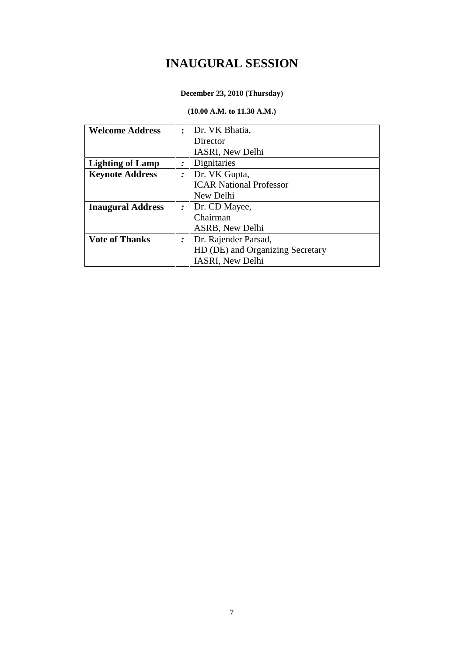## **INAUGURAL SESSION**

#### **December 23, 2010 (Thursday)**

#### **(10.00 A.M. to 11.30 A.M.)**

| <b>Welcome Address</b>   | $\ddot{\cdot}$ | Dr. VK Bhatia,                   |
|--------------------------|----------------|----------------------------------|
|                          |                | Director                         |
|                          |                | IASRI, New Delhi                 |
| <b>Lighting of Lamp</b>  | ∶              | Dignitaries                      |
| <b>Keynote Address</b>   | $\cdot$        | Dr. VK Gupta,                    |
|                          |                | <b>ICAR National Professor</b>   |
|                          |                | New Delhi                        |
| <b>Inaugural Address</b> | $\cdot$        | Dr. CD Mayee,                    |
|                          |                | Chairman                         |
|                          |                | ASRB, New Delhi                  |
| <b>Vote of Thanks</b>    | $\cdot$        | Dr. Rajender Parsad,             |
|                          |                | HD (DE) and Organizing Secretary |
|                          |                | <b>IASRI, New Delhi</b>          |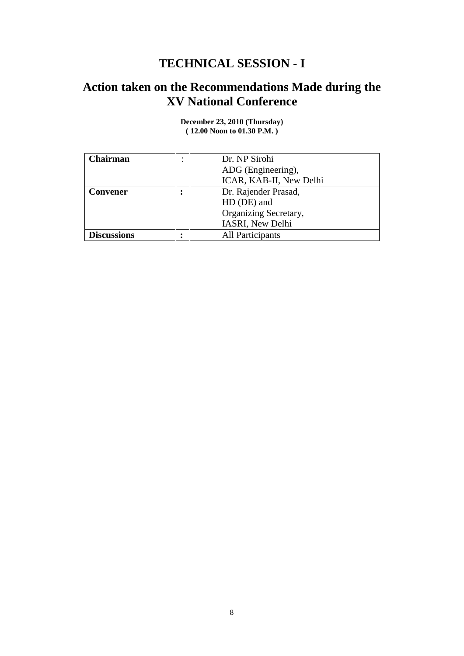## **TECHNICAL SESSION - I**

## **Action taken on the Recommendations Made during the XV National Conference**

| Chairman           | Dr. NP Sirohi           |
|--------------------|-------------------------|
|                    | ADG (Engineering),      |
|                    | ICAR, KAB-II, New Delhi |
| <b>Convener</b>    | Dr. Rajender Prasad,    |
|                    | HD (DE) and             |
|                    | Organizing Secretary,   |
|                    | IASRI, New Delhi        |
| <b>Discussions</b> | All Participants        |

**December 23, 2010 (Thursday) ( 12.00 Noon to 01.30 P.M. )**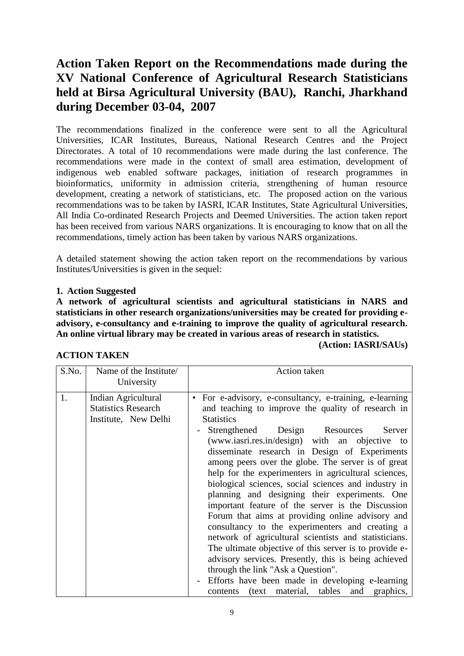## **Action Taken Report on the Recommendations made during the XV National Conference of Agricultural Research Statisticians held at Birsa Agricultural University (BAU), Ranchi, Jharkhand during December 03-04, 2007**

The recommendations finalized in the conference were sent to all the Agricultural Universities, ICAR Institutes, Bureaus, National Research Centres and the Project Directorates. A total of 10 recommendations were made during the last conference. The recommendations were made in the context of small area estimation, development of indigenous web enabled software packages, initiation of research programmes in bioinformatics, uniformity in admission criteria, strengthening of human resource development, creating a network of statisticians, etc. The proposed action on the various recommendations was to be taken by IASRI, ICAR Institutes, State Agricultural Universities, All India Co-ordinated Research Projects and Deemed Universities. The action taken report has been received from various NARS organizations. It is encouraging to know that on all the recommendations, timely action has been taken by various NARS organizations.

A detailed statement showing the action taken report on the recommendations by various Institutes/Universities is given in the sequel:

#### **1. Action Suggested**

**A network of agricultural scientists and agricultural statisticians in NARS and statisticians in other research organizations/universities may be created for providing e advisory, e-consultancy and e-training to improve the quality of agricultural research. An online virtual library may be created in various areas of research in statistics.**

**(Action: IASRI/SAUs)**

| <b>ACTION TAKEN</b> |
|---------------------|
|---------------------|

| S.No. | Name of the Institute<br>University                                       | Action taken                                                                                                                                                                                                                                                                                                                                                                                                                                                                                                                                                                                                                                                                                                                                                                                                                                                                                                                                                                                                        |
|-------|---------------------------------------------------------------------------|---------------------------------------------------------------------------------------------------------------------------------------------------------------------------------------------------------------------------------------------------------------------------------------------------------------------------------------------------------------------------------------------------------------------------------------------------------------------------------------------------------------------------------------------------------------------------------------------------------------------------------------------------------------------------------------------------------------------------------------------------------------------------------------------------------------------------------------------------------------------------------------------------------------------------------------------------------------------------------------------------------------------|
| 1.    | Indian Agricultural<br><b>Statistics Research</b><br>Institute, New Delhi | For e-advisory, e-consultancy, e-training, e-learning<br>$\bullet$<br>and teaching to improve the quality of research in<br><b>Statistics</b><br>Strengthened<br>Design Resources<br>Server<br>(www.iasri.res.in/design) with an objective to<br>disseminate research in Design of Experiments<br>among peers over the globe. The server is of great<br>help for the experimenters in agricultural sciences,<br>biological sciences, social sciences and industry in<br>planning and designing their experiments. One<br>important feature of the server is the Discussion<br>Forum that aims at providing online advisory and<br>consultancy to the experimenters and creating a<br>network of agricultural scientists and statisticians.<br>The ultimate objective of this server is to provide e-<br>advisory services. Presently, this is being achieved<br>through the link "Ask a Question".<br>Efforts have been made in developing e-learning<br>$\sim$<br>contents (text material, tables and<br>graphics, |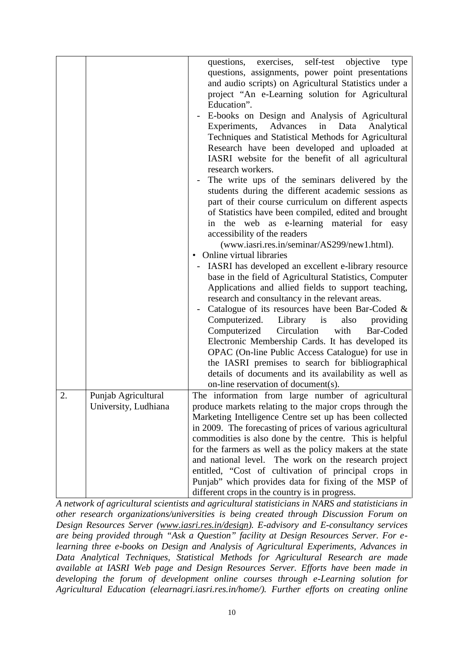|    |                      | questions, exercises, self-test objective<br>type<br>questions, assignments, power point presentations<br>and audio scripts) on Agricultural Statistics under a<br>project "An e-Learning solution for Agricultural<br>Education".<br>E-books on Design and Analysis of Agricultural<br>$\blacksquare$<br>Experiments, Advances<br>in<br>Data<br>Analytical<br>Techniques and Statistical Methods for Agricultural<br>Research have been developed and uploaded at<br>IASRI website for the benefit of all agricultural<br>research workers.<br>The write ups of the seminars delivered by the<br>students during the different academic sessions as<br>part of their course curriculum on different aspects<br>of Statistics have been compiled, edited and brought<br>in the web as e-learning material for easy<br>accessibility of the readers<br>(www.iasri.res.in/seminar/AS299/new1.html).<br>Online virtual libraries<br>$\bullet$<br>IASRI has developed an excellent e-library resource<br>base in the field of Agricultural Statistics, Computer<br>Applications and allied fields to support teaching,<br>research and consultancy in the relevant areas.<br>Catalogue of its resources have been Bar-Coded &<br>Computerized.<br>Library is<br>also<br>providing<br>Computerized<br>Circulation<br>with<br>Bar-Coded<br>Electronic Membership Cards. It has developed its<br>OPAC (On-line Public Access Catalogue) for use in<br>the IASRI premises to search for bibliographical<br>details of documents and its availability as well as<br>on-line reservation of document(s). |
|----|----------------------|------------------------------------------------------------------------------------------------------------------------------------------------------------------------------------------------------------------------------------------------------------------------------------------------------------------------------------------------------------------------------------------------------------------------------------------------------------------------------------------------------------------------------------------------------------------------------------------------------------------------------------------------------------------------------------------------------------------------------------------------------------------------------------------------------------------------------------------------------------------------------------------------------------------------------------------------------------------------------------------------------------------------------------------------------------------------------------------------------------------------------------------------------------------------------------------------------------------------------------------------------------------------------------------------------------------------------------------------------------------------------------------------------------------------------------------------------------------------------------------------------------------------------------------------------------------------------------------------|
| 2. | Punjab Agricultural  | The information from large number of agricultural                                                                                                                                                                                                                                                                                                                                                                                                                                                                                                                                                                                                                                                                                                                                                                                                                                                                                                                                                                                                                                                                                                                                                                                                                                                                                                                                                                                                                                                                                                                                              |
|    | University, Ludhiana | produce markets relating to the major crops through the                                                                                                                                                                                                                                                                                                                                                                                                                                                                                                                                                                                                                                                                                                                                                                                                                                                                                                                                                                                                                                                                                                                                                                                                                                                                                                                                                                                                                                                                                                                                        |
|    |                      | Marketing Intelligence Centre set up has been collected                                                                                                                                                                                                                                                                                                                                                                                                                                                                                                                                                                                                                                                                                                                                                                                                                                                                                                                                                                                                                                                                                                                                                                                                                                                                                                                                                                                                                                                                                                                                        |
|    |                      | in 2009. The forecasting of prices of various agricultural                                                                                                                                                                                                                                                                                                                                                                                                                                                                                                                                                                                                                                                                                                                                                                                                                                                                                                                                                                                                                                                                                                                                                                                                                                                                                                                                                                                                                                                                                                                                     |
|    |                      | commodities is also done by the centre. This is helpful                                                                                                                                                                                                                                                                                                                                                                                                                                                                                                                                                                                                                                                                                                                                                                                                                                                                                                                                                                                                                                                                                                                                                                                                                                                                                                                                                                                                                                                                                                                                        |
|    |                      | for the farmers as well as the policy makers at the state                                                                                                                                                                                                                                                                                                                                                                                                                                                                                                                                                                                                                                                                                                                                                                                                                                                                                                                                                                                                                                                                                                                                                                                                                                                                                                                                                                                                                                                                                                                                      |
|    |                      | and national level. The work on the research project                                                                                                                                                                                                                                                                                                                                                                                                                                                                                                                                                                                                                                                                                                                                                                                                                                                                                                                                                                                                                                                                                                                                                                                                                                                                                                                                                                                                                                                                                                                                           |
|    |                      | entitled, "Cost of cultivation of principal crops in                                                                                                                                                                                                                                                                                                                                                                                                                                                                                                                                                                                                                                                                                                                                                                                                                                                                                                                                                                                                                                                                                                                                                                                                                                                                                                                                                                                                                                                                                                                                           |
|    |                      | Punjab" which provides data for fixing of the MSP of                                                                                                                                                                                                                                                                                                                                                                                                                                                                                                                                                                                                                                                                                                                                                                                                                                                                                                                                                                                                                                                                                                                                                                                                                                                                                                                                                                                                                                                                                                                                           |
|    |                      | different crops in the country is in progress.                                                                                                                                                                                                                                                                                                                                                                                                                                                                                                                                                                                                                                                                                                                                                                                                                                                                                                                                                                                                                                                                                                                                                                                                                                                                                                                                                                                                                                                                                                                                                 |

*A network of agricultural scientists and agricultural statisticians in NARS and statisticians in other research organizations/universities is being created through Discussion Forum on Design Resources Server (www.iasri.res.in/design). E-advisory and E-consultancy services are being provided through "Ask a Question" facility at Design Resources Server. For elearning three e-books on Design and Analysis of Agricultural Experiments, Advances in Data Analytical Techniques, Statistical Methods for Agricultural Research are made available at IASRI Web page and Design Resources Server. Efforts have been made in developing the forum of development online courses through e-Learning solution for Agricultural Education (elearnagri.iasri.res.in/home/). Further efforts on creating online*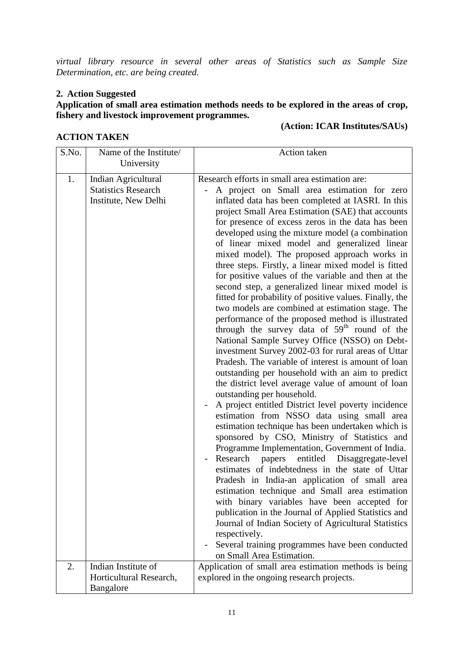*virtual library resource in several other areas of Statistics such as Sample Size Determination, etc. are being created.*

#### **2. Action Suggested**

#### **Application of small area estimation methods needs to be explored in the areas of crop, fishery and livestock improvement programmes.**

#### **ACTION TAKEN**

#### **(Action: ICAR Institutes/SAUs)**

| S.No.    | Name of the Institute/<br>University                                                             | Action taken                                                                                                                                                                                                                                                                                                                                                                                                                                                                                                                                                                                                                                                                                                                                                                                                                                                                                                                                                                                                                                                                                                                                                                                                                                                                                                                                                                                                                                                                                                                                                                                                                                                                                                                                                                                                                                                                                                                                               |
|----------|--------------------------------------------------------------------------------------------------|------------------------------------------------------------------------------------------------------------------------------------------------------------------------------------------------------------------------------------------------------------------------------------------------------------------------------------------------------------------------------------------------------------------------------------------------------------------------------------------------------------------------------------------------------------------------------------------------------------------------------------------------------------------------------------------------------------------------------------------------------------------------------------------------------------------------------------------------------------------------------------------------------------------------------------------------------------------------------------------------------------------------------------------------------------------------------------------------------------------------------------------------------------------------------------------------------------------------------------------------------------------------------------------------------------------------------------------------------------------------------------------------------------------------------------------------------------------------------------------------------------------------------------------------------------------------------------------------------------------------------------------------------------------------------------------------------------------------------------------------------------------------------------------------------------------------------------------------------------------------------------------------------------------------------------------------------------|
| 1.<br>2. | Indian Agricultural<br><b>Statistics Research</b><br>Institute, New Delhi<br>Indian Institute of | Research efforts in small area estimation are:<br>A project on Small area estimation for zero<br>inflated data has been completed at IASRI. In this<br>project Small Area Estimation (SAE) that accounts<br>for presence of excess zeros in the data has been<br>developed using the mixture model (a combination<br>of linear mixed model and generalized linear<br>mixed model). The proposed approach works in<br>three steps. Firstly, a linear mixed model is fitted<br>for positive values of the variable and then at the<br>second step, a generalized linear mixed model is<br>fitted for probability of positive values. Finally, the<br>two models are combined at estimation stage. The<br>performance of the proposed method is illustrated<br>through the survey data of 59 <sup>th</sup> round of the<br>National Sample Survey Office (NSSO) on Debt-<br>investment Survey 2002-03 for rural areas of Uttar<br>Pradesh. The variable of interest is amount of loan<br>outstanding per household with an aim to predict<br>the district level average value of amount of loan<br>outstanding per household.<br>A project entitled District level poverty incidence<br>estimation from NSSO data using small area<br>estimation technique has been undertaken which is<br>sponsored by CSO, Ministry of Statistics and<br>Programme Implementation, Government of India.<br>Research<br>entitled<br>Disaggregate-level<br>papers<br>$\overline{\phantom{a}}$<br>estimates of indebtedness in the state of Uttar<br>Pradesh in India-an application of small area<br>estimation technique and Small area estimation<br>with binary variables have been accepted for<br>publication in the Journal of Applied Statistics and<br>Journal of Indian Society of Agricultural Statistics<br>respectively.<br>Several training programmes have been conducted<br>on Small Area Estimation.<br>Application of small area estimation methods is being |
|          | Horticultural Research,<br>Bangalore                                                             | explored in the ongoing research projects.                                                                                                                                                                                                                                                                                                                                                                                                                                                                                                                                                                                                                                                                                                                                                                                                                                                                                                                                                                                                                                                                                                                                                                                                                                                                                                                                                                                                                                                                                                                                                                                                                                                                                                                                                                                                                                                                                                                 |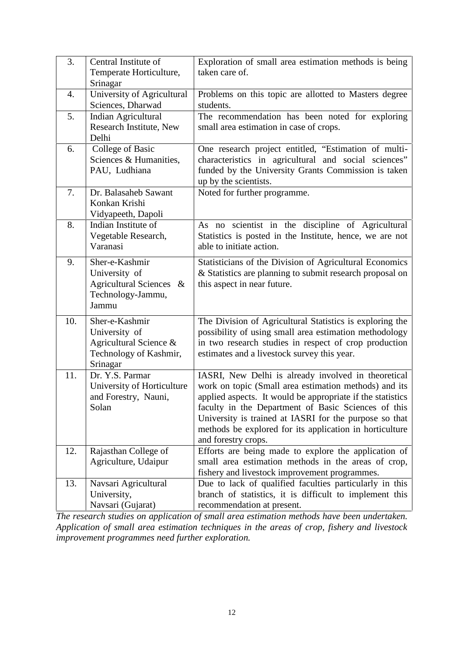| 3.  | Central Institute of                                                                            | Exploration of small area estimation methods is being                                                                                                                                                                                                                                                                                                                         |
|-----|-------------------------------------------------------------------------------------------------|-------------------------------------------------------------------------------------------------------------------------------------------------------------------------------------------------------------------------------------------------------------------------------------------------------------------------------------------------------------------------------|
|     | Temperate Horticulture,                                                                         | taken care of.                                                                                                                                                                                                                                                                                                                                                                |
|     | Srinagar                                                                                        |                                                                                                                                                                                                                                                                                                                                                                               |
| 4.  | University of Agricultural<br>Sciences, Dharwad                                                 | Problems on this topic are allotted to Masters degree<br>students.                                                                                                                                                                                                                                                                                                            |
| 5.  | Indian Agricultural<br>Research Institute, New<br>Delhi                                         | The recommendation has been noted for exploring<br>small area estimation in case of crops.                                                                                                                                                                                                                                                                                    |
| 6.  | College of Basic<br>Sciences & Humanities,<br>PAU, Ludhiana                                     | One research project entitled, "Estimation of multi-<br>characteristics in agricultural and social sciences"<br>funded by the University Grants Commission is taken<br>up by the scientists.                                                                                                                                                                                  |
| 7.  | Dr. Balasaheb Sawant<br>Konkan Krishi<br>Vidyapeeth, Dapoli                                     | Noted for further programme.                                                                                                                                                                                                                                                                                                                                                  |
| 8.  | Indian Institute of<br>Vegetable Research,<br>Varanasi                                          | As no scientist in the discipline of Agricultural<br>Statistics is posted in the Institute, hence, we are not<br>able to initiate action.                                                                                                                                                                                                                                     |
| 9.  | Sher-e-Kashmir<br>University of<br>Agricultural Sciences &<br>Technology-Jammu,<br>Jammu        | Statisticians of the Division of Agricultural Economics<br>& Statistics are planning to submit research proposal on<br>this aspect in near future.                                                                                                                                                                                                                            |
| 10. | Sher-e-Kashmir<br>University of<br>Agricultural Science &<br>Technology of Kashmir,<br>Srinagar | The Division of Agricultural Statistics is exploring the<br>possibility of using small area estimation methodology<br>in two research studies in respect of crop production<br>estimates and a livestock survey this year.                                                                                                                                                    |
| 11. | Dr. Y.S. Parmar<br>University of Horticulture<br>and Forestry, Nauni,<br>Solan                  | IASRI, New Delhi is already involved in theoretical<br>work on topic (Small area estimation methods) and its<br>applied aspects. It would be appropriate if the statistics<br>faculty in the Department of Basic Sciences of this<br>University is trained at IASRI for the purpose so that<br>methods be explored for its application in horticulture<br>and forestry crops. |
| 12. | Rajasthan College of<br>Agriculture, Udaipur                                                    | Efforts are being made to explore the application of<br>small area estimation methods in the areas of crop,<br>fishery and livestock improvement programmes.                                                                                                                                                                                                                  |
| 13. | Navsari Agricultural<br>University,<br>Navsari (Gujarat)                                        | Due to lack of qualified faculties particularly in this<br>branch of statistics, it is difficult to implement this<br>recommendation at present.                                                                                                                                                                                                                              |

*The research studies on application of small area estimation methods have been undertaken. Application of small area estimation techniques in the areas of crop, fishery and livestock improvement programmes need further exploration.*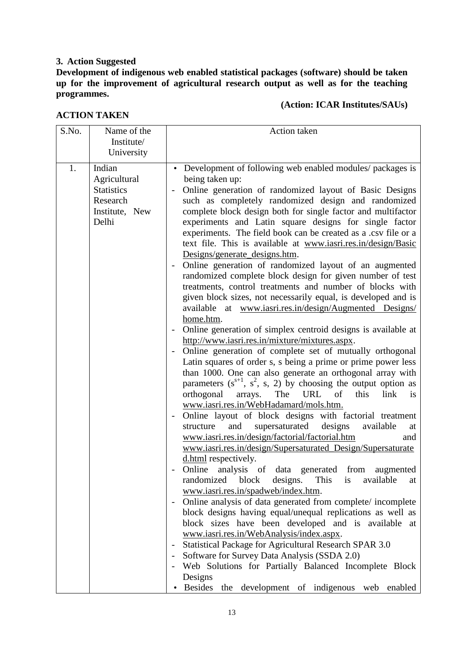#### **3. Action Suggested**

**Development of indigenous web enabled statistical packages (software) should be taken up for the improvement of agricultural research output as well as for the teaching programmes.**

#### **(Action: ICAR Institutes/SAUs)**

| <b>ACTION TAKEN</b> |  |
|---------------------|--|
|---------------------|--|

| S.No. | Name of the<br>Institute/<br>University                                            | <b>Action taken</b>                                                                                                                                                                                                                                                                                                                                                                                                                                                                                                                                                                                                                                                                                                                                                                                                                                                                                                                                                                                                                                                                                                                                                                                                                                                                                                                                                                                                                                                                                                                                                                                                                                                                                                                                                                                                                                                                                                                                                                                                                                                                                                                                                                                                                                                                                                                                                                                 |
|-------|------------------------------------------------------------------------------------|-----------------------------------------------------------------------------------------------------------------------------------------------------------------------------------------------------------------------------------------------------------------------------------------------------------------------------------------------------------------------------------------------------------------------------------------------------------------------------------------------------------------------------------------------------------------------------------------------------------------------------------------------------------------------------------------------------------------------------------------------------------------------------------------------------------------------------------------------------------------------------------------------------------------------------------------------------------------------------------------------------------------------------------------------------------------------------------------------------------------------------------------------------------------------------------------------------------------------------------------------------------------------------------------------------------------------------------------------------------------------------------------------------------------------------------------------------------------------------------------------------------------------------------------------------------------------------------------------------------------------------------------------------------------------------------------------------------------------------------------------------------------------------------------------------------------------------------------------------------------------------------------------------------------------------------------------------------------------------------------------------------------------------------------------------------------------------------------------------------------------------------------------------------------------------------------------------------------------------------------------------------------------------------------------------------------------------------------------------------------------------------------------------|
| 1.    | Indian<br>Agricultural<br><b>Statistics</b><br>Research<br>Institute, New<br>Delhi | Development of following web enabled modules/ packages is<br>$\bullet$<br>being taken up:<br>Online generation of randomized layout of Basic Designs<br>$\qquad \qquad -$<br>such as completely randomized design and randomized<br>complete block design both for single factor and multifactor<br>experiments and Latin square designs for single factor<br>experiments. The field book can be created as a .csv file or a<br>text file. This is available at www.iasri.res.in/design/Basic<br>Designs/generate_designs.htm.<br>Online generation of randomized layout of an augmented<br>$\overline{\phantom{a}}$<br>randomized complete block design for given number of test<br>treatments, control treatments and number of blocks with<br>given block sizes, not necessarily equal, is developed and is<br>available at www.iasri.res.in/design/Augmented Designs/<br>home.htm.<br>Online generation of simplex centroid designs is available at<br>$\overline{\phantom{a}}$<br>http://www.iasri.res.in/mixture/mixtures.aspx.<br>Online generation of complete set of mutually orthogonal<br>Latin squares of order s, s being a prime or prime power less<br>than 1000. One can also generate an orthogonal array with<br>parameters $(s^{s+1}, s^2, s, 2)$ by choosing the output option as<br>The<br>URL of<br>this<br>link<br>orthogonal<br>is<br>arrays.<br>www.iasri.res.in/WebHadamard/mols.htm.<br>Online layout of block designs with factorial treatment<br>and<br>supersaturated<br>designs<br>available<br>structure<br>at<br>www.iasri.res.in/design/factorial/factorial.htm<br>and<br>www.iasri.res.in/design/Supersaturated_Design/Supersaturate<br>d.html respectively.<br>Online analysis of data generated from augmented<br>randomized<br>block<br>designs. This<br>available<br>$\overline{1}S$<br>at<br>www.iasri.res.in/spadweb/index.htm.<br>Online analysis of data generated from complete/ incomplete<br>$\overline{\phantom{a}}$<br>block designs having equal/unequal replications as well as<br>block sizes have been developed and is available at<br>www.iasri.res.in/WebAnalysis/index.aspx.<br>Statistical Package for Agricultural Research SPAR 3.0<br>$\overline{\phantom{a}}$<br>Software for Survey Data Analysis (SSDA 2.0)<br>Web Solutions for Partially Balanced Incomplete Block<br>Designs<br>Besides the development of indigenous web enabled |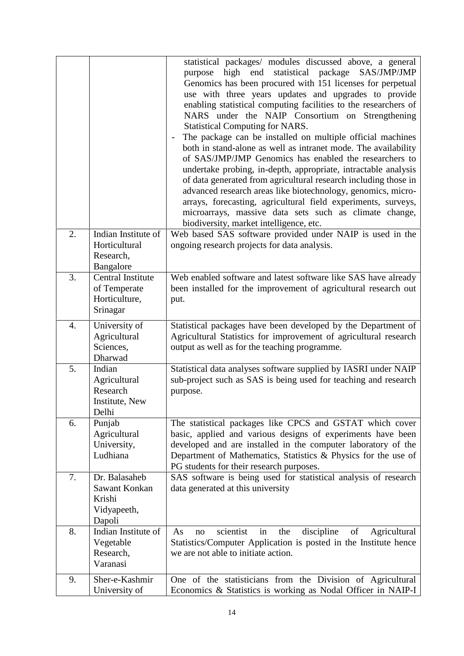|    |                                                                       | statistical packages/ modules discussed above, a general<br>purpose high end statistical package SAS/JMP/JMP<br>Genomics has been procured with 151 licenses for perpetual<br>use with three years updates and upgrades to provide<br>enabling statistical computing facilities to the researchers of<br>NARS under the NAIP Consortium on Strengthening<br><b>Statistical Computing for NARS.</b><br>The package can be installed on multiple official machines<br>both in stand-alone as well as intranet mode. The availability<br>of SAS/JMP/JMP Genomics has enabled the researchers to<br>undertake probing, in-depth, appropriate, intractable analysis<br>of data generated from agricultural research including those in<br>advanced research areas like biotechnology, genomics, micro-<br>arrays, forecasting, agricultural field experiments, surveys,<br>microarrays, massive data sets such as climate change,<br>biodiversity, market intelligence, etc. |
|----|-----------------------------------------------------------------------|-------------------------------------------------------------------------------------------------------------------------------------------------------------------------------------------------------------------------------------------------------------------------------------------------------------------------------------------------------------------------------------------------------------------------------------------------------------------------------------------------------------------------------------------------------------------------------------------------------------------------------------------------------------------------------------------------------------------------------------------------------------------------------------------------------------------------------------------------------------------------------------------------------------------------------------------------------------------------|
| 2. | Indian Institute of<br>Horticultural<br>Research,<br>Bangalore        | Web based SAS software provided under NAIP is used in the<br>ongoing research projects for data analysis.                                                                                                                                                                                                                                                                                                                                                                                                                                                                                                                                                                                                                                                                                                                                                                                                                                                               |
| 3. | <b>Central Institute</b><br>of Temperate<br>Horticulture,<br>Srinagar | Web enabled software and latest software like SAS have already<br>been installed for the improvement of agricultural research out<br>put.                                                                                                                                                                                                                                                                                                                                                                                                                                                                                                                                                                                                                                                                                                                                                                                                                               |
| 4. | University of<br>Agricultural<br>Sciences,<br>Dharwad                 | Statistical packages have been developed by the Department of<br>Agricultural Statistics for improvement of agricultural research<br>output as well as for the teaching programme.                                                                                                                                                                                                                                                                                                                                                                                                                                                                                                                                                                                                                                                                                                                                                                                      |
| 5. | Indian<br>Agricultural<br>Research<br>Institute, New<br>Delhi         | Statistical data analyses software supplied by IASRI under NAIP<br>sub-project such as SAS is being used for teaching and research<br>purpose.                                                                                                                                                                                                                                                                                                                                                                                                                                                                                                                                                                                                                                                                                                                                                                                                                          |
| 6. | Punjab<br>Agricultural<br>University,<br>Ludhiana                     | The statistical packages like CPCS and GSTAT which cover<br>basic, applied and various designs of experiments have been<br>developed and are installed in the computer laboratory of the<br>Department of Mathematics, Statistics & Physics for the use of<br>PG students for their research purposes.                                                                                                                                                                                                                                                                                                                                                                                                                                                                                                                                                                                                                                                                  |
| 7. | Dr. Balasaheb<br>Sawant Konkan<br>Krishi<br>Vidyapeeth,<br>Dapoli     | SAS software is being used for statistical analysis of research<br>data generated at this university                                                                                                                                                                                                                                                                                                                                                                                                                                                                                                                                                                                                                                                                                                                                                                                                                                                                    |
| 8. | Indian Institute of<br>Vegetable<br>Research,<br>Varanasi             | scientist<br>discipline<br>in<br>of<br>Agricultural<br>As<br>the<br>no<br>Statistics/Computer Application is posted in the Institute hence<br>we are not able to initiate action.                                                                                                                                                                                                                                                                                                                                                                                                                                                                                                                                                                                                                                                                                                                                                                                       |
| 9. | Sher-e-Kashmir<br>University of                                       | One of the statisticians from the Division of Agricultural<br>Economics & Statistics is working as Nodal Officer in NAIP-I                                                                                                                                                                                                                                                                                                                                                                                                                                                                                                                                                                                                                                                                                                                                                                                                                                              |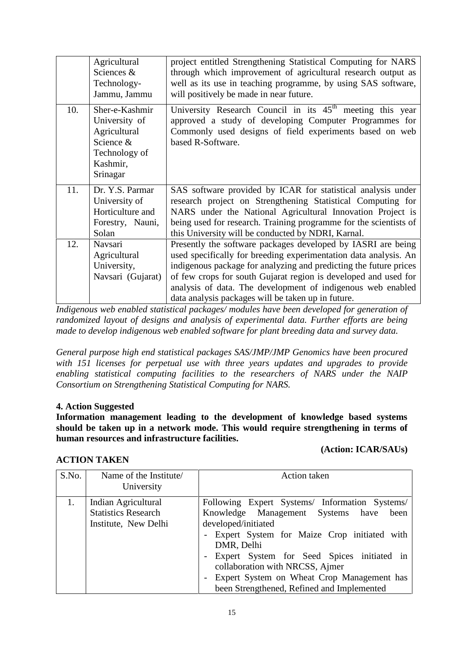|     | Agricultural<br>Sciences &<br>Technology-<br>Jammu, Jammu                                             | project entitled Strengthening Statistical Computing for NARS<br>through which improvement of agricultural research output as<br>well as its use in teaching programme, by using SAS software,<br>will positively be made in near future.                                                                                                                                                     |
|-----|-------------------------------------------------------------------------------------------------------|-----------------------------------------------------------------------------------------------------------------------------------------------------------------------------------------------------------------------------------------------------------------------------------------------------------------------------------------------------------------------------------------------|
| 10. | Sher-e-Kashmir<br>University of<br>Agricultural<br>Science &<br>Technology of<br>Kashmir,<br>Srinagar | University Research Council in its $45th$ meeting this year<br>approved a study of developing Computer Programmes for<br>Commonly used designs of field experiments based on web<br>based R-Software.                                                                                                                                                                                         |
| 11. | Dr. Y.S. Parmar<br>University of<br>Horticulture and<br>Forestry, Nauni,<br>Solan                     | SAS software provided by ICAR for statistical analysis under<br>research project on Strengthening Statistical Computing for<br>NARS under the National Agricultural Innovation Project is<br>being used for research. Training programme for the scientists of<br>this University will be conducted by NDRI, Karnal.                                                                          |
| 12. | Navsari<br>Agricultural<br>University,<br>Navsari (Gujarat)                                           | Presently the software packages developed by IASRI are being<br>used specifically for breeding experimentation data analysis. An<br>indigenous package for analyzing and predicting the future prices<br>of few crops for south Gujarat region is developed and used for<br>analysis of data. The development of indigenous web enabled<br>data analysis packages will be taken up in future. |

*Indigenous web enabled statistical packages/ modules have been developed for generation of randomized layout of designs and analysis of experimental data. Further efforts are being made to develop indigenous web enabled software for plant breeding data and survey data.*

*General purpose high end statistical packages SAS/JMP/JMP Genomics have been procured with 151 licenses for perpetual use with three years updates and upgrades to provide enabling statistical computing facilities to the researchers of NARS under the NAIP Consortium on Strengthening Statistical Computing for NARS.*

#### **4. Action Suggested**

**ACTION TAKEN**

**Information management leading to the development of knowledge based systems should be taken up in a network mode. This would require strengthening in terms of human resources and infrastructure facilities.**

#### **(Action: ICAR/SAUs)**

| S.No. | Name of the Institute<br>University                                       | Action taken                                                                                                                                                                                                                                                                                                                                                 |
|-------|---------------------------------------------------------------------------|--------------------------------------------------------------------------------------------------------------------------------------------------------------------------------------------------------------------------------------------------------------------------------------------------------------------------------------------------------------|
| 1.    | Indian Agricultural<br><b>Statistics Research</b><br>Institute, New Delhi | Following Expert Systems/ Information Systems/<br>Knowledge Management Systems have<br>been<br>developed/initiated<br>Expert System for Maize Crop initiated with<br>DMR, Delhi<br>Expert System for Seed Spices initiated in<br>collaboration with NRCSS, Ajmer<br>Expert System on Wheat Crop Management has<br>been Strengthened, Refined and Implemented |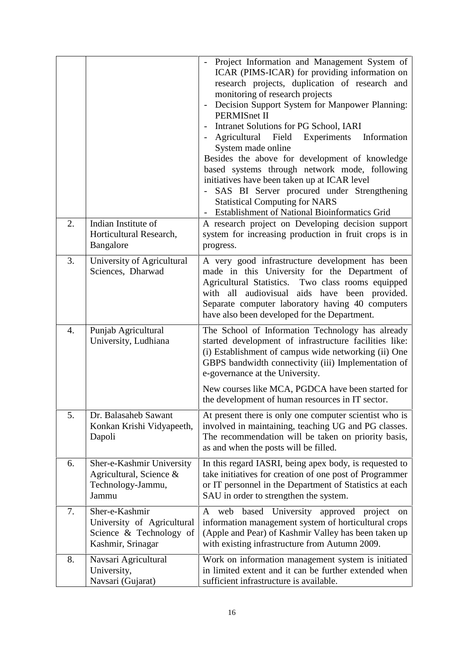|                  |                                                                                              | Project Information and Management System of<br>ICAR (PIMS-ICAR) for providing information on<br>research projects, duplication of research and<br>monitoring of research projects<br>Decision Support System for Manpower Planning:<br><b>PERMISnet II</b><br>Intranet Solutions for PG School, IARI<br>Agricultural<br>Field<br>Experiments<br>Information<br>System made online<br>Besides the above for development of knowledge<br>based systems through network mode, following<br>initiatives have been taken up at ICAR level<br>SAS BI Server procured under Strengthening<br><b>Statistical Computing for NARS</b><br><b>Establishment of National Bioinformatics Grid</b> |
|------------------|----------------------------------------------------------------------------------------------|--------------------------------------------------------------------------------------------------------------------------------------------------------------------------------------------------------------------------------------------------------------------------------------------------------------------------------------------------------------------------------------------------------------------------------------------------------------------------------------------------------------------------------------------------------------------------------------------------------------------------------------------------------------------------------------|
| 2.               | Indian Institute of<br>Horticultural Research,<br>Bangalore                                  | A research project on Developing decision support<br>system for increasing production in fruit crops is in<br>progress.                                                                                                                                                                                                                                                                                                                                                                                                                                                                                                                                                              |
| 3.               | University of Agricultural<br>Sciences, Dharwad                                              | A very good infrastructure development has been<br>made in this University for the Department of<br>Agricultural Statistics. Two class rooms equipped<br>with all audiovisual aids have been provided.<br>Separate computer laboratory having 40 computers<br>have also been developed for the Department.                                                                                                                                                                                                                                                                                                                                                                           |
| $\overline{4}$ . | Punjab Agricultural<br>University, Ludhiana                                                  | The School of Information Technology has already<br>started development of infrastructure facilities like:<br>(i) Establishment of campus wide networking (ii) One<br>GBPS bandwidth connectivity (iii) Implementation of<br>e-governance at the University.<br>New courses like MCA, PGDCA have been started for                                                                                                                                                                                                                                                                                                                                                                    |
|                  |                                                                                              | the development of human resources in IT sector.                                                                                                                                                                                                                                                                                                                                                                                                                                                                                                                                                                                                                                     |
| 5.               | Dr. Balasaheb Sawant<br>Konkan Krishi Vidyapeeth,<br>Dapoli                                  | At present there is only one computer scientist who is<br>involved in maintaining, teaching UG and PG classes.<br>The recommendation will be taken on priority basis,<br>as and when the posts will be filled.                                                                                                                                                                                                                                                                                                                                                                                                                                                                       |
| 6.               | Sher-e-Kashmir University<br>Agricultural, Science &<br>Technology-Jammu,<br>Jammu           | In this regard IASRI, being apex body, is requested to<br>take initiatives for creation of one post of Programmer<br>or IT personnel in the Department of Statistics at each<br>SAU in order to strengthen the system.                                                                                                                                                                                                                                                                                                                                                                                                                                                               |
| 7.               | Sher-e-Kashmir<br>University of Agricultural<br>Science & Technology of<br>Kashmir, Srinagar | A web based University approved<br>project<br><sub>on</sub><br>information management system of horticultural crops<br>(Apple and Pear) of Kashmir Valley has been taken up<br>with existing infrastructure from Autumn 2009.                                                                                                                                                                                                                                                                                                                                                                                                                                                        |
| 8.               | Navsari Agricultural<br>University,<br>Navsari (Gujarat)                                     | Work on information management system is initiated<br>in limited extent and it can be further extended when<br>sufficient infrastructure is available.                                                                                                                                                                                                                                                                                                                                                                                                                                                                                                                               |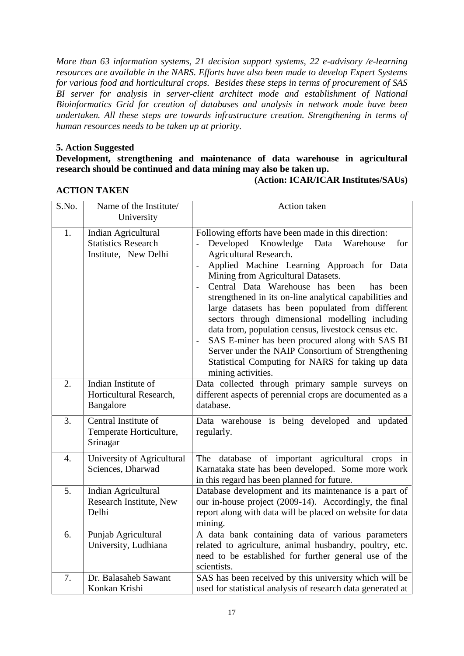*More than 63 information systems, 21 decision support systems, 22 e-advisory /e-learning resources are available in the NARS. Efforts have also been made to develop Expert Systems for various food and horticultural crops. Besides these steps in terms of procurement of SAS BI server for analysis in server-client architect mode and establishment of National Bioinformatics Grid for creation of databases and analysis in network mode have been undertaken. All these steps are towards infrastructure creation. Strengthening in terms of human resources needs to be taken up at priority.*

#### **5. Action Suggested**

#### **Development, strengthening and maintenance of data warehouse in agricultural research should be continued and data mining may also be taken up.**

#### **(Action: ICAR/ICAR Institutes/SAUs)**

#### **ACTION TAKEN**

| S.No. | Name of the Institute/<br>University                                      | Action taken                                                                                                                                                                                                                                                                                                                                                                                                                                                                                                                                                                                                                                                                       |
|-------|---------------------------------------------------------------------------|------------------------------------------------------------------------------------------------------------------------------------------------------------------------------------------------------------------------------------------------------------------------------------------------------------------------------------------------------------------------------------------------------------------------------------------------------------------------------------------------------------------------------------------------------------------------------------------------------------------------------------------------------------------------------------|
| 1.    | Indian Agricultural<br><b>Statistics Research</b><br>Institute, New Delhi | Following efforts have been made in this direction:<br>Developed<br>Knowledge<br>Data<br>Warehouse<br>for<br>Agricultural Research.<br>Applied Machine Learning Approach for Data<br>Mining from Agricultural Datasets.<br>Central Data Warehouse has been<br>has been<br>strengthened in its on-line analytical capabilities and<br>large datasets has been populated from different<br>sectors through dimensional modelling including<br>data from, population census, livestock census etc.<br>SAS E-miner has been procured along with SAS BI<br>Server under the NAIP Consortium of Strengthening<br>Statistical Computing for NARS for taking up data<br>mining activities. |
| 2.    | Indian Institute of<br>Horticultural Research,<br>Bangalore               | Data collected through primary sample surveys on<br>different aspects of perennial crops are documented as a<br>database.                                                                                                                                                                                                                                                                                                                                                                                                                                                                                                                                                          |
| 3.    | Central Institute of<br>Temperate Horticulture,<br>Srinagar               | Data warehouse is being developed and updated<br>regularly.                                                                                                                                                                                                                                                                                                                                                                                                                                                                                                                                                                                                                        |
| 4.    | University of Agricultural<br>Sciences, Dharwad                           | The database of important agricultural crops in<br>Karnataka state has been developed. Some more work<br>in this regard has been planned for future.                                                                                                                                                                                                                                                                                                                                                                                                                                                                                                                               |
| 5.    | Indian Agricultural<br>Research Institute, New<br>Delhi                   | Database development and its maintenance is a part of<br>our in-house project (2009-14). Accordingly, the final<br>report along with data will be placed on website for data<br>mining.                                                                                                                                                                                                                                                                                                                                                                                                                                                                                            |
| 6.    | Punjab Agricultural<br>University, Ludhiana                               | A data bank containing data of various parameters<br>related to agriculture, animal husbandry, poultry, etc.<br>need to be established for further general use of the<br>scientists.                                                                                                                                                                                                                                                                                                                                                                                                                                                                                               |
| 7.    | Dr. Balasaheb Sawant<br>Konkan Krishi                                     | SAS has been received by this university which will be<br>used for statistical analysis of research data generated at                                                                                                                                                                                                                                                                                                                                                                                                                                                                                                                                                              |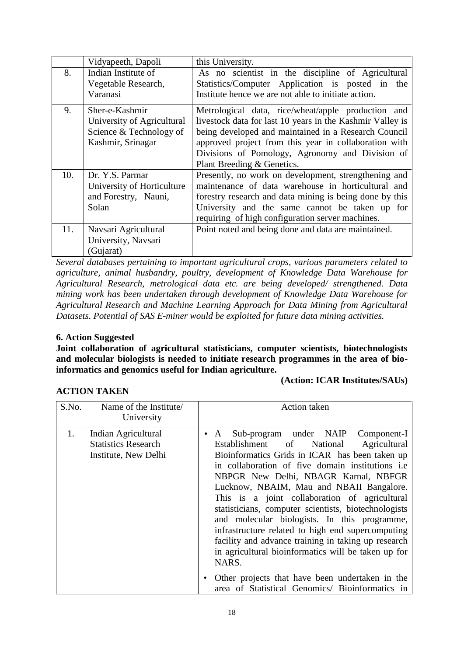|     | Vidyapeeth, Dapoli         | this University.                                          |
|-----|----------------------------|-----------------------------------------------------------|
| 8.  | Indian Institute of        | As no scientist in the discipline of Agricultural         |
|     | Vegetable Research,        | Statistics/Computer Application is posted in the          |
|     | Varanasi                   | Institute hence we are not able to initiate action.       |
| 9.  | Sher-e-Kashmir             | Metrological data, rice/wheat/apple production and        |
|     | University of Agricultural | livestock data for last 10 years in the Kashmir Valley is |
|     | Science & Technology of    | being developed and maintained in a Research Council      |
|     | Kashmir, Srinagar          | approved project from this year in collaboration with     |
|     |                            | Divisions of Pomology, Agronomy and Division of           |
|     |                            | Plant Breeding & Genetics.                                |
| 10. | Dr. Y.S. Parmar            | Presently, no work on development, strengthening and      |
|     | University of Horticulture | maintenance of data warehouse in horticultural and        |
|     | and Forestry, Nauni,       | forestry research and data mining is being done by this   |
|     | Solan                      | University and the same cannot be taken up for            |
|     |                            | requiring of high configuration server machines.          |
| 11. | Navsari Agricultural       | Point noted and being done and data are maintained.       |
|     | University, Navsari        |                                                           |
|     | (Gujarat)                  |                                                           |

*Several databases pertaining to important agricultural crops, various parameters related to agriculture, animal husbandry, poultry, development of Knowledge Data Warehouse for Agricultural Research, metrological data etc. are being developed/ strengthened. Data mining work has been undertaken through development of Knowledge Data Warehouse for Agricultural Research and Machine Learning Approach for Data Mining from Agricultural Datasets. Potential of SAS E-miner would be exploited for future data mining activities.*

#### **6. Action Suggested**

**Joint collaboration of agricultural statisticians, computer scientists, biotechnologists and molecular biologists is needed to initiate research programmes in the area of bioinformatics and genomics useful for Indian agriculture.**

#### **ACTION TAKEN**

**(Action: ICAR Institutes/SAUs)**

| S.No. | Name of the Institute<br>University                                       | Action taken                                                                                                                                                                                                                                                                                                                                                                                                                                                                                                                                                                                                                            |
|-------|---------------------------------------------------------------------------|-----------------------------------------------------------------------------------------------------------------------------------------------------------------------------------------------------------------------------------------------------------------------------------------------------------------------------------------------------------------------------------------------------------------------------------------------------------------------------------------------------------------------------------------------------------------------------------------------------------------------------------------|
| 1.    | Indian Agricultural<br><b>Statistics Research</b><br>Institute, New Delhi | Sub-program under NAIP Component-I<br>$\bullet$ A<br>Establishment of<br>National<br>Agricultural<br>Bioinformatics Grids in ICAR has been taken up<br>in collaboration of five domain institutions <i>i.e</i><br>NBPGR New Delhi, NBAGR Karnal, NBFGR<br>Lucknow, NBAIM, Mau and NBAII Bangalore.<br>This is a joint collaboration of agricultural<br>statisticians, computer scientists, biotechnologists<br>and molecular biologists. In this programme,<br>infrastructure related to high end supercomputing<br>facility and advance training in taking up research<br>in agricultural bioinformatics will be taken up for<br>NARS. |
|       |                                                                           | • Other projects that have been undertaken in the<br>area of Statistical Genomics/ Bioinformatics in                                                                                                                                                                                                                                                                                                                                                                                                                                                                                                                                    |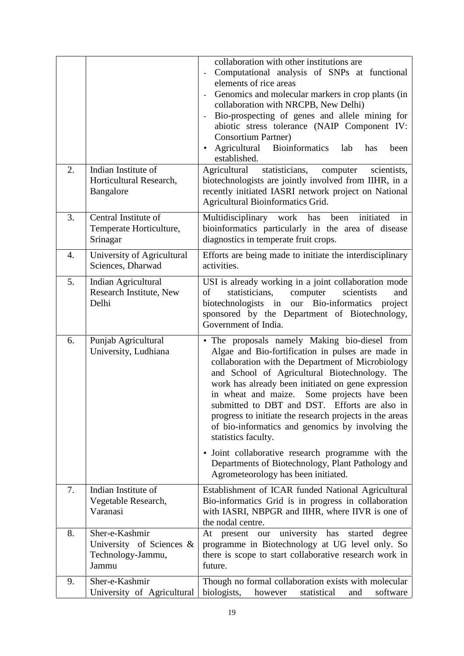|    |                                                                          | collaboration with other institutions are<br>Computational analysis of SNPs at functional<br>elements of rice areas<br>Genomics and molecular markers in crop plants (in<br>$\overline{\phantom{a}}$<br>collaboration with NRCPB, New Delhi)<br>Bio-prospecting of genes and allele mining for<br>abiotic stress tolerance (NAIP Component IV:<br><b>Consortium Partner)</b><br>Agricultural<br><b>Bioinformatics</b><br>lab<br>$\bullet$<br>has<br>been<br>established.                                                                                  |
|----|--------------------------------------------------------------------------|-----------------------------------------------------------------------------------------------------------------------------------------------------------------------------------------------------------------------------------------------------------------------------------------------------------------------------------------------------------------------------------------------------------------------------------------------------------------------------------------------------------------------------------------------------------|
| 2. | Indian Institute of<br>Horticultural Research,<br>Bangalore              | Agricultural<br>statisticians,<br>computer<br>scientists,<br>biotechnologists are jointly involved from IIHR, in a<br>recently initiated IASRI network project on National<br>Agricultural Bioinformatics Grid.                                                                                                                                                                                                                                                                                                                                           |
| 3. | Central Institute of<br>Temperate Horticulture,<br>Srinagar              | Multidisciplinary work has been<br>initiated<br>in<br>bioinformatics particularly in the area of disease<br>diagnostics in temperate fruit crops.                                                                                                                                                                                                                                                                                                                                                                                                         |
| 4. | University of Agricultural<br>Sciences, Dharwad                          | Efforts are being made to initiate the interdisciplinary<br>activities.                                                                                                                                                                                                                                                                                                                                                                                                                                                                                   |
| 5. | Indian Agricultural<br>Research Institute, New<br>Delhi                  | USI is already working in a joint collaboration mode<br>of<br>statisticians,<br>scientists<br>computer<br>and<br>biotechnologists in our Bio-informatics project<br>sponsored by the Department of Biotechnology,<br>Government of India.                                                                                                                                                                                                                                                                                                                 |
| 6. | Punjab Agricultural<br>University, Ludhiana                              | • The proposals namely Making bio-diesel from<br>Algae and Bio-fortification in pulses are made in<br>collaboration with the Department of Microbiology<br>and School of Agricultural Biotechnology. The<br>work has already been initiated on gene expression<br>in wheat and maize. Some projects have been<br>submitted to DBT and DST. Efforts are also in<br>progress to initiate the research projects in the areas<br>of bio-informatics and genomics by involving the<br>statistics faculty.<br>• Joint collaborative research programme with the |
|    |                                                                          | Departments of Biotechnology, Plant Pathology and<br>Agrometeorology has been initiated.                                                                                                                                                                                                                                                                                                                                                                                                                                                                  |
| 7. | Indian Institute of<br>Vegetable Research,<br>Varanasi                   | Establishment of ICAR funded National Agricultural<br>Bio-informatics Grid is in progress in collaboration<br>with IASRI, NBPGR and IIHR, where IIVR is one of<br>the nodal centre.                                                                                                                                                                                                                                                                                                                                                                       |
| 8. | Sher-e-Kashmir<br>University of Sciences &<br>Technology-Jammu,<br>Jammu | university<br>has<br>started<br>present<br>degree<br>At<br>our<br>programme in Biotechnology at UG level only. So<br>there is scope to start collaborative research work in<br>future.                                                                                                                                                                                                                                                                                                                                                                    |
| 9. | Sher-e-Kashmir<br>University of Agricultural                             | Though no formal collaboration exists with molecular<br>biologists,<br>software<br>however<br>statistical<br>and                                                                                                                                                                                                                                                                                                                                                                                                                                          |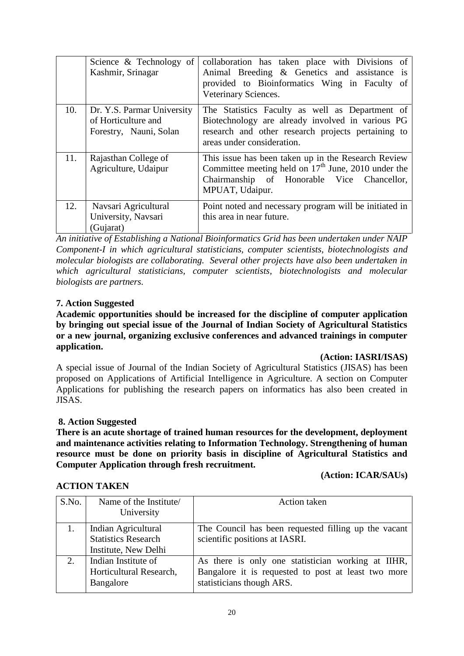|     | Science & Technology of $\vert$<br>Kashmir, Srinagar                        | collaboration has taken place with Divisions of<br>Animal Breeding & Genetics and assistance is<br>provided to Bioinformatics Wing in Faculty of<br>Veterinary Sciences.                |
|-----|-----------------------------------------------------------------------------|-----------------------------------------------------------------------------------------------------------------------------------------------------------------------------------------|
| 10. | Dr. Y.S. Parmar University<br>of Horticulture and<br>Forestry, Nauni, Solan | The Statistics Faculty as well as Department of<br>Biotechnology are already involved in various PG<br>research and other research projects pertaining to<br>areas under consideration. |
| 11. | Rajasthan College of<br>Agriculture, Udaipur                                | This issue has been taken up in the Research Review<br>Committee meeting held on $17th$ June, 2010 under the<br>Chairmanship of Honorable Vice Chancellor,<br>MPUAT, Udaipur.           |
| 12. | Navsari Agricultural<br>University, Navsari<br>(Gujarat)                    | Point noted and necessary program will be initiated in<br>this area in near future.                                                                                                     |

*An initiative of Establishing a National Bioinformatics Grid has been undertaken under NAIP Component-I in which agricultural statisticians, computer scientists, biotechnologists and molecular biologists are collaborating. Several other projects have also been undertaken in which agricultural statisticians, computer scientists, biotechnologists and molecular biologists are partners.*

#### **7. Action Suggested**

**Academic opportunities should be increased for the discipline of computer application by bringing out special issue of the Journal of Indian Society of Agricultural Statistics or a new journal, organizing exclusive conferences and advanced trainings in computer application.**

#### **(Action: IASRI/ISAS)**

A special issue of Journal of the Indian Society of Agricultural Statistics (JISAS) has been proposed on Applications of Artificial Intelligence in Agriculture. A section on Computer Applications for publishing the research papers on informatics has also been created in JISAS.

#### **8. Action Suggested**

**There is an acute shortage of trained human resources for the development, deployment and maintenance activities relating to Information Technology. Strengthening of human resource must be done on priority basis in discipline of Agricultural Statistics and Computer Application through fresh recruitment.**

#### **ACTION TAKEN**

**(Action: ICAR/SAUs)**

| S.No. | Name of the Institute/<br>University                                      | Action taken                                                                                                                           |
|-------|---------------------------------------------------------------------------|----------------------------------------------------------------------------------------------------------------------------------------|
|       | Indian Agricultural<br><b>Statistics Research</b><br>Institute, New Delhi | The Council has been requested filling up the vacant<br>scientific positions at IASRI.                                                 |
| 2.    | Indian Institute of<br>Horticultural Research,<br>Bangalore               | As there is only one statistician working at IIHR,<br>Bangalore it is requested to post at least two more<br>statisticians though ARS. |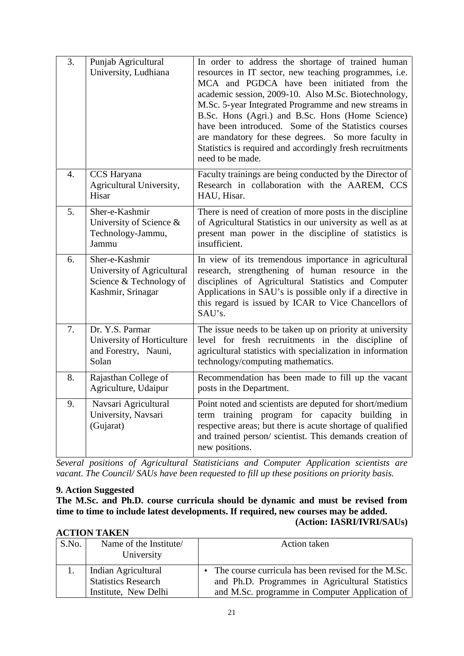| 3. | Punjab Agricultural<br>University, Ludhiana                                                  | In order to address the shortage of trained human<br>resources in IT sector, new teaching programmes, i.e.<br>MCA and PGDCA have been initiated from the<br>academic session, 2009-10. Also M.Sc. Biotechnology,<br>M.Sc. 5-year Integrated Programme and new streams in<br>B.Sc. Hons (Agri.) and B.Sc. Hons (Home Science)<br>have been introduced. Some of the Statistics courses<br>are mandatory for these degrees. So more faculty in<br>Statistics is required and accordingly fresh recruitments<br>need to be made. |  |
|----|----------------------------------------------------------------------------------------------|------------------------------------------------------------------------------------------------------------------------------------------------------------------------------------------------------------------------------------------------------------------------------------------------------------------------------------------------------------------------------------------------------------------------------------------------------------------------------------------------------------------------------|--|
| 4. | CCS Haryana<br>Agricultural University,<br>Hisar                                             | Faculty trainings are being conducted by the Director of<br>Research in collaboration with the AAREM, CCS<br>HAU, Hisar.                                                                                                                                                                                                                                                                                                                                                                                                     |  |
| 5. | Sher-e-Kashmir<br>University of Science &<br>Technology-Jammu,<br>Jammu                      | There is need of creation of more posts in the discipline<br>of Agricultural Statistics in our university as well as at<br>present man power in the discipline of statistics is<br>insufficient.                                                                                                                                                                                                                                                                                                                             |  |
| 6. | Sher-e-Kashmir<br>University of Agricultural<br>Science & Technology of<br>Kashmir, Srinagar | In view of its tremendous importance in agricultural<br>research, strengthening of human resource in the<br>disciplines of Agricultural Statistics and Computer<br>Applications in SAU's is possible only if a directive in<br>this regard is issued by ICAR to Vice Chancellors of<br>SAU's.                                                                                                                                                                                                                                |  |
| 7. | Dr. Y.S. Parmar<br>University of Horticulture<br>and Forestry, Nauni,<br>Solan               | The issue needs to be taken up on priority at university<br>level for fresh recruitments in the discipline of<br>agricultural statistics with specialization in information<br>technology/computing mathematics.                                                                                                                                                                                                                                                                                                             |  |
| 8. | Rajasthan College of<br>Agriculture, Udaipur                                                 | Recommendation has been made to fill up the vacant<br>posts in the Department.                                                                                                                                                                                                                                                                                                                                                                                                                                               |  |
| 9. | Navsari Agricultural<br>University, Navsari<br>(Gujarat)                                     | Point noted and scientists are deputed for short/medium<br>term training program for capacity building in<br>respective areas; but there is acute shortage of qualified<br>and trained person/ scientist. This demands creation of<br>new positions.                                                                                                                                                                                                                                                                         |  |

*Several positions of Agricultural Statisticians and Computer Application scientists are vacant. The Council/ SAUs have been requested to fill up these positions on priority basis.*

#### **9. Action Suggested**

**The M.Sc. and Ph.D. course curricula should be dynamic and must be revised from time to time to include latest developments. If required, new courses may be added. (Action: IASRI/IVRI/SAUs)**

#### **ACTION TAKEN**

| S.No. | Name of the Institute/<br>University | Action taken                                          |
|-------|--------------------------------------|-------------------------------------------------------|
|       | Indian Agricultural                  | • The course curricula has been revised for the M.Sc. |
|       | <b>Statistics Research</b>           | and Ph.D. Programmes in Agricultural Statistics       |
|       | Institute, New Delhi                 | and M.Sc. programme in Computer Application of        |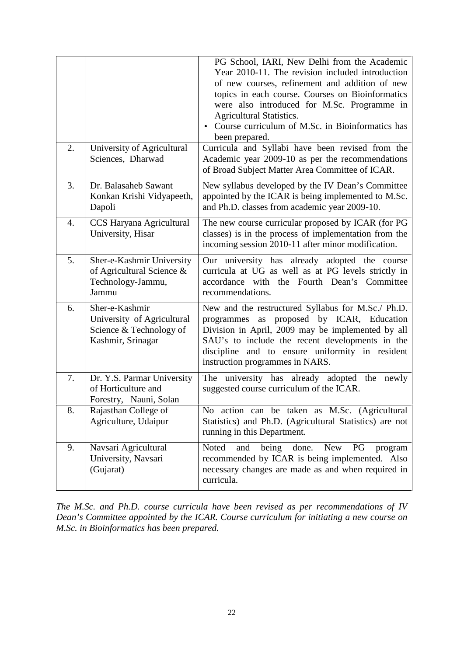|    |                                                                                              | PG School, IARI, New Delhi from the Academic<br>Year 2010-11. The revision included introduction<br>of new courses, refinement and addition of new<br>topics in each course. Courses on Bioinformatics<br>were also introduced for M.Sc. Programme in<br><b>Agricultural Statistics.</b><br>Course curriculum of M.Sc. in Bioinformatics has<br>been prepared. |
|----|----------------------------------------------------------------------------------------------|----------------------------------------------------------------------------------------------------------------------------------------------------------------------------------------------------------------------------------------------------------------------------------------------------------------------------------------------------------------|
| 2. | University of Agricultural<br>Sciences, Dharwad                                              | Curricula and Syllabi have been revised from the<br>Academic year 2009-10 as per the recommendations<br>of Broad Subject Matter Area Committee of ICAR.                                                                                                                                                                                                        |
| 3. | Dr. Balasaheb Sawant<br>Konkan Krishi Vidyapeeth,<br>Dapoli                                  | New syllabus developed by the IV Dean's Committee<br>appointed by the ICAR is being implemented to M.Sc.<br>and Ph.D. classes from academic year 2009-10.                                                                                                                                                                                                      |
| 4. | CCS Haryana Agricultural<br>University, Hisar                                                | The new course curricular proposed by ICAR (for PG<br>classes) is in the process of implementation from the<br>incoming session 2010-11 after minor modification.                                                                                                                                                                                              |
| 5. | Sher-e-Kashmir University<br>of Agricultural Science &<br>Technology-Jammu,<br>Jammu         | Our university has already adopted the course<br>curricula at UG as well as at PG levels strictly in<br>accordance with the Fourth Dean's Committee<br>recommendations.                                                                                                                                                                                        |
| 6. | Sher-e-Kashmir<br>University of Agricultural<br>Science & Technology of<br>Kashmir, Srinagar | New and the restructured Syllabus for M.Sc./ Ph.D.<br>programmes as proposed by ICAR, Education<br>Division in April, 2009 may be implemented by all<br>SAU's to include the recent developments in the<br>discipline and to ensure uniformity in resident<br>instruction programmes in NARS.                                                                  |
| 7. | Dr. Y.S. Parmar University<br>of Horticulture and<br>Forestry, Nauni, Solan                  | The university has already adopted the newly<br>suggested course curriculum of the ICAR.                                                                                                                                                                                                                                                                       |
| 8. | Rajasthan College of<br>Agriculture, Udaipur                                                 | No action can be taken as M.Sc. (Agricultural<br>Statistics) and Ph.D. (Agricultural Statistics) are not<br>running in this Department.                                                                                                                                                                                                                        |
| 9. | Navsari Agricultural<br>University, Navsari<br>(Gujarat)                                     | Noted<br>being<br>done.<br><b>New</b><br>PG<br>and<br>program<br>recommended by ICAR is being implemented. Also<br>necessary changes are made as and when required in<br>curricula.                                                                                                                                                                            |

*The M.Sc. and Ph.D. course curricula have been revised as per recommendations of IV Dean's Committee appointed by the ICAR. Course curriculum for initiating a new course on M.Sc. in Bioinformatics has been prepared.*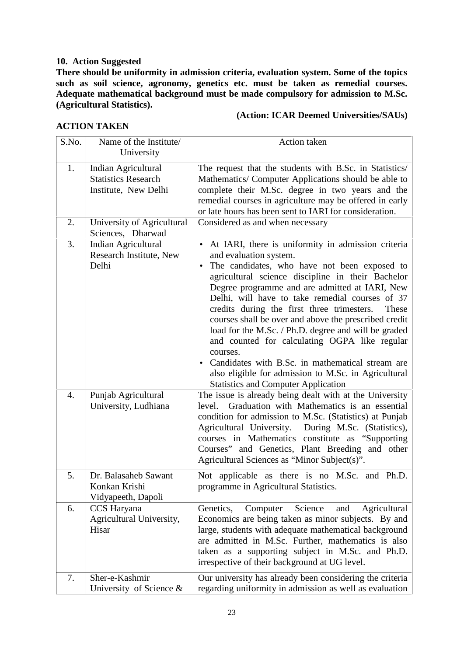#### **10. Action Suggested**

**There should be uniformity in admission criteria, evaluation system. Some of the topics such as soil science, agronomy, genetics etc. must be taken as remedial courses. Adequate mathematical background must be made compulsory for admission to M.Sc. (Agricultural Statistics).**

#### **ACTION TAKEN**

#### **(Action: ICAR Deemed Universities/SAUs)**

| S.No. | Name of the Institute/                                                    | Action taken                                                                                                                                                                                                                                                                                                                                                                                                                                                                                                                                                                                                                                                                            |
|-------|---------------------------------------------------------------------------|-----------------------------------------------------------------------------------------------------------------------------------------------------------------------------------------------------------------------------------------------------------------------------------------------------------------------------------------------------------------------------------------------------------------------------------------------------------------------------------------------------------------------------------------------------------------------------------------------------------------------------------------------------------------------------------------|
|       | University                                                                |                                                                                                                                                                                                                                                                                                                                                                                                                                                                                                                                                                                                                                                                                         |
| 1.    | Indian Agricultural<br><b>Statistics Research</b><br>Institute, New Delhi | The request that the students with B.Sc. in Statistics/<br>Mathematics/ Computer Applications should be able to<br>complete their M.Sc. degree in two years and the<br>remedial courses in agriculture may be offered in early<br>or late hours has been sent to IARI for consideration.                                                                                                                                                                                                                                                                                                                                                                                                |
| 2.    | University of Agricultural<br>Sciences, Dharwad                           | Considered as and when necessary                                                                                                                                                                                                                                                                                                                                                                                                                                                                                                                                                                                                                                                        |
| 3.    | Indian Agricultural<br>Research Institute, New<br>Delhi                   | • At IARI, there is uniformity in admission criteria<br>and evaluation system.<br>The candidates, who have not been exposed to<br>agricultural science discipline in their Bachelor<br>Degree programme and are admitted at IARI, New<br>Delhi, will have to take remedial courses of 37<br>credits during the first three trimesters.<br>These<br>courses shall be over and above the prescribed credit<br>load for the M.Sc. / Ph.D. degree and will be graded<br>and counted for calculating OGPA like regular<br>courses.<br>Candidates with B.Sc. in mathematical stream are<br>also eligible for admission to M.Sc. in Agricultural<br><b>Statistics and Computer Application</b> |
| 4.    | Punjab Agricultural<br>University, Ludhiana                               | The issue is already being dealt with at the University<br>Graduation with Mathematics is an essential<br>level.<br>condition for admission to M.Sc. (Statistics) at Punjab<br>Agricultural University. During M.Sc. (Statistics),<br>courses in Mathematics constitute as "Supporting<br>Courses" and Genetics, Plant Breeding and other<br>Agricultural Sciences as "Minor Subject(s)".                                                                                                                                                                                                                                                                                               |
| 5.    | Dr. Balasaheb Sawant<br>Konkan Krishi<br>Vidyapeeth, Dapoli               | Not applicable as there is no M.Sc. and Ph.D.<br>programme in Agricultural Statistics.                                                                                                                                                                                                                                                                                                                                                                                                                                                                                                                                                                                                  |
| 6.    | CCS Haryana<br>Agricultural University,<br>Hisar                          | Computer<br>Science<br>Agricultural<br>Genetics,<br>and<br>Economics are being taken as minor subjects. By and<br>large, students with adequate mathematical background<br>are admitted in M.Sc. Further, mathematics is also<br>taken as a supporting subject in M.Sc. and Ph.D.<br>irrespective of their background at UG level.                                                                                                                                                                                                                                                                                                                                                      |
| 7.    | Sher-e-Kashmir<br>University of Science $\&$                              | Our university has already been considering the criteria<br>regarding uniformity in admission as well as evaluation                                                                                                                                                                                                                                                                                                                                                                                                                                                                                                                                                                     |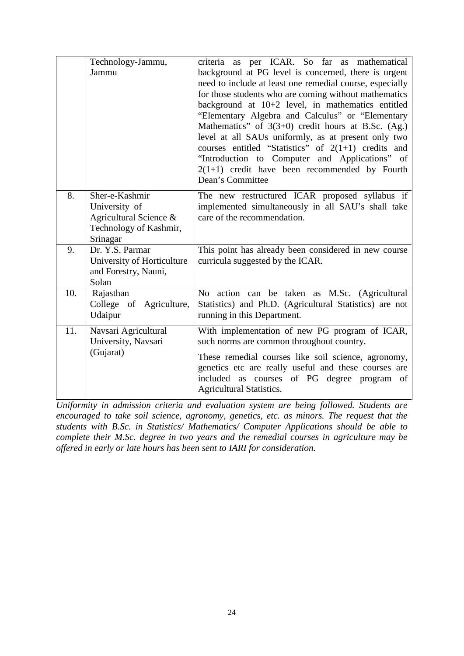|     | Technology-Jammu,<br>Jammu                                                                      | criteria as per ICAR. So far as mathematical<br>background at PG level is concerned, there is urgent<br>need to include at least one remedial course, especially<br>for those students who are coming without mathematics<br>background at 10+2 level, in mathematics entitled<br>"Elementary Algebra and Calculus" or "Elementary<br>Mathematics" of $3(3+0)$ credit hours at B.Sc. (Ag.)<br>level at all SAUs uniformly, as at present only two<br>courses entitled "Statistics" of $2(1+1)$ credits and<br>"Introduction to Computer and Applications" of<br>$2(1+1)$ credit have been recommended by Fourth<br>Dean's Committee |
|-----|-------------------------------------------------------------------------------------------------|-------------------------------------------------------------------------------------------------------------------------------------------------------------------------------------------------------------------------------------------------------------------------------------------------------------------------------------------------------------------------------------------------------------------------------------------------------------------------------------------------------------------------------------------------------------------------------------------------------------------------------------|
| 8.  | Sher-e-Kashmir<br>University of<br>Agricultural Science &<br>Technology of Kashmir,<br>Srinagar | The new restructured ICAR proposed syllabus if<br>implemented simultaneously in all SAU's shall take<br>care of the recommendation.                                                                                                                                                                                                                                                                                                                                                                                                                                                                                                 |
| 9.  | Dr. Y.S. Parmar<br>University of Horticulture<br>and Forestry, Nauni,<br>Solan                  | This point has already been considered in new course<br>curricula suggested by the ICAR.                                                                                                                                                                                                                                                                                                                                                                                                                                                                                                                                            |
| 10. | Rajasthan<br>College of Agriculture,<br>Udaipur                                                 | No action can be taken as M.Sc. (Agricultural<br>Statistics) and Ph.D. (Agricultural Statistics) are not<br>running in this Department.                                                                                                                                                                                                                                                                                                                                                                                                                                                                                             |
| 11. | Navsari Agricultural<br>University, Navsari<br>(Gujarat)                                        | With implementation of new PG program of ICAR,<br>such norms are common throughout country.<br>These remedial courses like soil science, agronomy,<br>genetics etc are really useful and these courses are<br>included as courses of PG degree program of<br><b>Agricultural Statistics.</b>                                                                                                                                                                                                                                                                                                                                        |

*Uniformity in admission criteria and evaluation system are being followed. Students are encouraged to take soil science, agronomy, genetics, etc. as minors. The request that the students with B.Sc. in Statistics/ Mathematics/ Computer Applications should be able to complete their M.Sc. degree in two years and the remedial courses in agriculture may be offered in early or late hours has been sent to IARI for consideration.*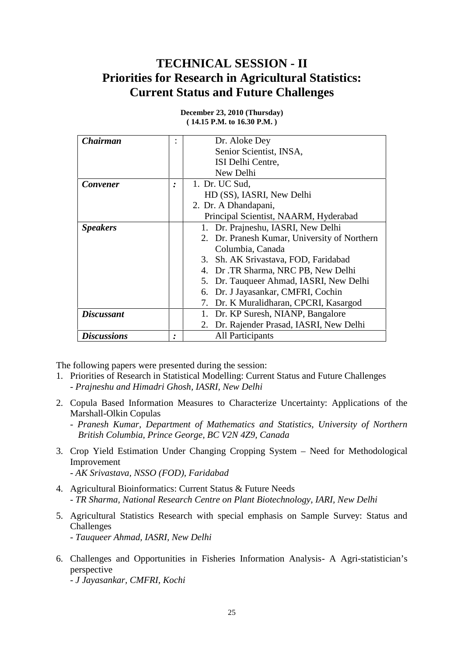## **TECHNICAL SESSION - II Priorities for Research in Agricultural Statistics: Current Status and Future Challenges**

| <b>Chairman</b>    | ۰ | Dr. Aloke Dey                                |
|--------------------|---|----------------------------------------------|
|                    |   | Senior Scientist, INSA,                      |
|                    |   | ISI Delhi Centre,                            |
|                    |   | New Delhi                                    |
| <b>Convener</b>    |   | 1. Dr. UC Sud,                               |
|                    |   | HD (SS), IASRI, New Delhi                    |
|                    |   | 2. Dr. A Dhandapani,                         |
|                    |   | Principal Scientist, NAARM, Hyderabad        |
| <b>Speakers</b>    |   | 1. Dr. Prajneshu, IASRI, New Delhi           |
|                    |   | 2. Dr. Pranesh Kumar, University of Northern |
|                    |   | Columbia, Canada                             |
|                    |   | Sh. AK Srivastava, FOD, Faridabad<br>3.      |
|                    |   | Dr .TR Sharma, NRC PB, New Delhi<br>4.       |
|                    |   | Dr. Tauqueer Ahmad, IASRI, New Delhi<br>5.   |
|                    |   | 6. Dr. J Jayasankar, CMFRI, Cochin           |
|                    |   | 7. Dr. K Muralidharan, CPCRI, Kasargod       |
| <b>Discussant</b>  |   | Dr. KP Suresh, NIANP, Bangalore              |
|                    |   | Dr. Rajender Prasad, IASRI, New Delhi<br>2.  |
| <b>Discussions</b> | ٠ | All Participants                             |

**December 23, 2010 (Thursday) ( 14.15 P.M. to 16.30 P.M. )**

The following papers were presented during the session:

- 1. Priorities of Research in Statistical Modelling: Current Status and Future Challenges - *Prajneshu and Himadri Ghosh, IASRI, New Delhi*
- 2. Copula Based Information Measures to Characterize Uncertainty: Applications of the Marshall-Olkin Copulas
	- *Pranesh Kumar, Department of Mathematics and Statistics, University of Northern British Columbia, Prince George, BC V2N 4Z9, Canada*
- 3. Crop Yield Estimation Under Changing Cropping System Need for Methodological Improvement
	- *AK Srivastava, NSSO (FOD), Faridabad*
- 4. Agricultural Bioinformatics: Current Status & Future Needs - *TR Sharma, National Research Centre on Plant Biotechnology, IARI, New Delhi*
- 5. Agricultural Statistics Research with special emphasis on Sample Survey: Status and Challenges
	- *Tauqueer Ahmad, IASRI, New Delhi*
- 6. Challenges and Opportunities in Fisheries Information Analysis- A Agri-statistician's perspective

- *J Jayasankar, CMFRI, Kochi*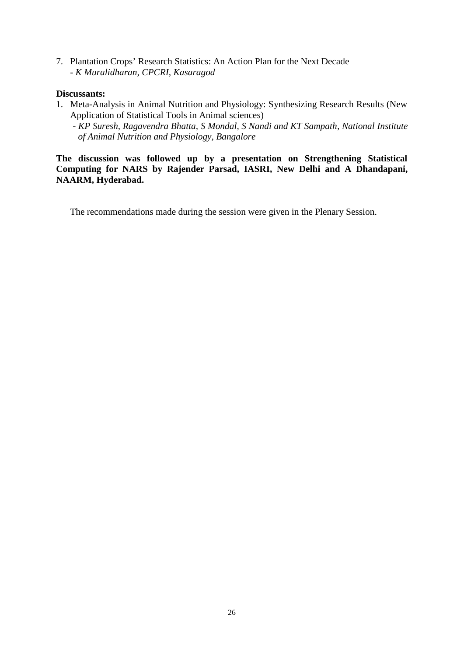7. Plantation Crops' Research Statistics: An Action Plan for the Next Decade - *K Muralidharan, CPCRI, Kasaragod*

#### **Discussants:**

1. Meta-Analysis in Animal Nutrition and Physiology: Synthesizing Research Results (New Application of Statistical Tools in Animal sciences)

- *KP Suresh, Ragavendra Bhatta, S Mondal, S Nandi and KT Sampath, National Institute of Animal Nutrition and Physiology, Bangalore*

**The discussion was followed up by a presentation on Strengthening Statistical Computing for NARS by Rajender Parsad, IASRI, New Delhi and A Dhandapani, NAARM, Hyderabad.**

The recommendations made during the session were given in the Plenary Session.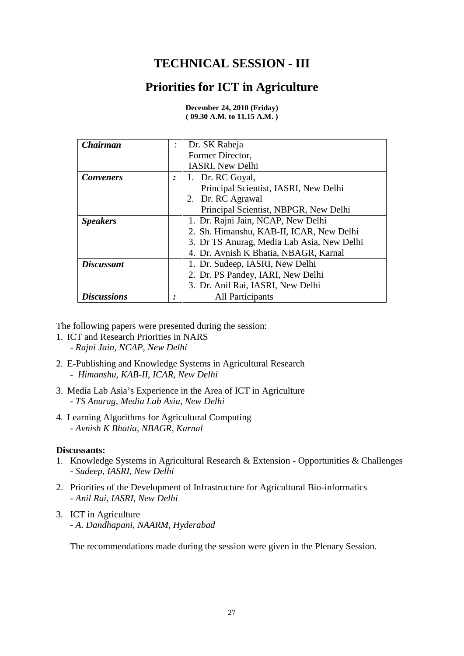## **TECHNICAL SESSION - III**

## **Priorities for ICT in Agriculture**

| <b>Chairman</b>    |           | Dr. SK Raheja                              |
|--------------------|-----------|--------------------------------------------|
|                    |           | Former Director,                           |
|                    |           | IASRI, New Delhi                           |
| <b>Conveners</b>   | $\bullet$ | 1. Dr. RC Goyal,                           |
|                    |           | Principal Scientist, IASRI, New Delhi      |
|                    |           | 2. Dr. RC Agrawal                          |
|                    |           | Principal Scientist, NBPGR, New Delhi      |
| <b>Speakers</b>    |           | 1. Dr. Rajni Jain, NCAP, New Delhi         |
|                    |           | 2. Sh. Himanshu, KAB-II, ICAR, New Delhi   |
|                    |           | 3. Dr TS Anurag, Media Lab Asia, New Delhi |
|                    |           | 4. Dr. Avnish K Bhatia, NBAGR, Karnal      |
| <b>Discussant</b>  |           | 1. Dr. Sudeep, IASRI, New Delhi            |
|                    |           | 2. Dr. PS Pandey, IARI, New Delhi          |
|                    |           | 3. Dr. Anil Rai, IASRI, New Delhi          |
| <b>Discussions</b> |           | <b>All Participants</b>                    |

**December 24, 2010 (Friday) ( 09.30 A.M. to 11.15 A.M. )**

The following papers were presented during the session:

- 1. ICT and Research Priorities in NARS - *Rajni Jain, NCAP, New Delhi*
- 2. E-Publishing and Knowledge Systems in Agricultural Research - *Himanshu, KAB-II, ICAR, New Delhi*
- 3. Media Lab Asia's Experience in the Area of ICT in Agriculture - *TS Anurag, Media Lab Asia, New Delhi*
- 4. Learning Algorithms for Agricultural Computing - *Avnish K Bhatia, NBAGR, Karnal*

#### **Discussants:**

- 1. Knowledge Systems in Agricultural Research & Extension Opportunities & Challenges - *Sudeep, IASRI, New Delhi*
- 2. Priorities of the Development of Infrastructure for Agricultural Bio-informatics - *Anil Rai, IASRI, New Delhi*
- 3. ICT in Agriculture - *A. Dandhapani, NAARM, Hyderabad*

The recommendations made during the session were given in the Plenary Session.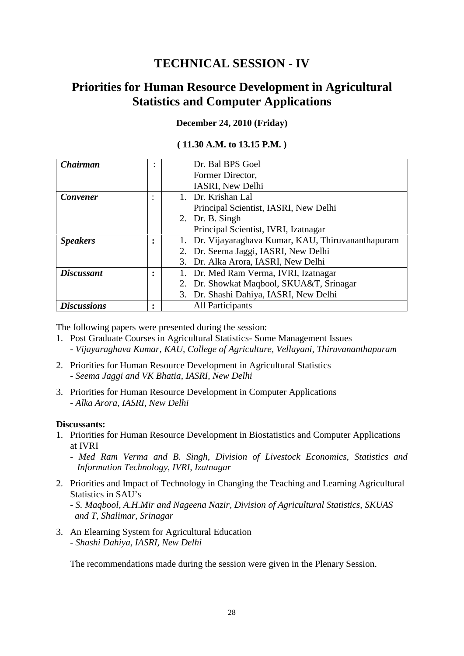## **TECHNICAL SESSION - IV**

## **Priorities for Human Resource Development in Agricultural Statistics and Computer Applications**

#### **December 24, 2010 (Friday)**

#### **( 11.30 A.M. to 13.15 P.M. )**

| Chairman           | $\bullet$      | Dr. Bal BPS Goel                                    |
|--------------------|----------------|-----------------------------------------------------|
|                    |                | Former Director,                                    |
|                    |                | IASRI, New Delhi                                    |
| <b>Convener</b>    | ٠              | 1. Dr. Krishan Lal                                  |
|                    |                | Principal Scientist, IASRI, New Delhi               |
|                    |                | 2. Dr. B. Singh                                     |
|                    |                | Principal Scientist, IVRI, Izatnagar                |
| <b>Speakers</b>    | ٠              | 1. Dr. Vijayaraghava Kumar, KAU, Thiruvananthapuram |
|                    |                | 2. Dr. Seema Jaggi, IASRI, New Delhi                |
|                    |                | 3. Dr. Alka Arora, IASRI, New Delhi                 |
| <b>Discussant</b>  | ٠<br>$\bullet$ | Dr. Med Ram Verma, IVRI, Izatnagar                  |
|                    |                | 2. Dr. Showkat Maqbool, SKUA&T, Srinagar            |
|                    |                | 3. Dr. Shashi Dahiya, IASRI, New Delhi              |
| <b>Discussions</b> | ٠              | <b>All Participants</b>                             |

The following papers were presented during the session:

- 1. Post Graduate Courses in Agricultural Statistics- Some Management Issues - *Vijayaraghava Kumar, KAU, College of Agriculture, Vellayani, Thiruvananthapuram*
- 2. Priorities for Human Resource Development in Agricultural Statistics - *Seema Jaggi and VK Bhatia, IASRI, New Delhi*
- 3. Priorities for Human Resource Development in Computer Applications - *Alka Arora, IASRI, New Delhi*

#### **Discussants:**

1. Priorities for Human Resource Development in Biostatistics and Computer Applications at IVRI

- *Med Ram Verma and B. Singh, Division of Livestock Economics, Statistics and Information Technology, IVRI, Izatnagar*

- 2. Priorities and Impact of Technology in Changing the Teaching and Learning Agricultural Statistics in SAU's
	- *S. Maqbool, A.H.Mir and Nageena Nazir, Division of Agricultural Statistics, SKUAS and T, Shalimar, Srinagar*
- 3. An Elearning System for Agricultural Education - *Shashi Dahiya, IASRI, New Delhi*

The recommendations made during the session were given in the Plenary Session.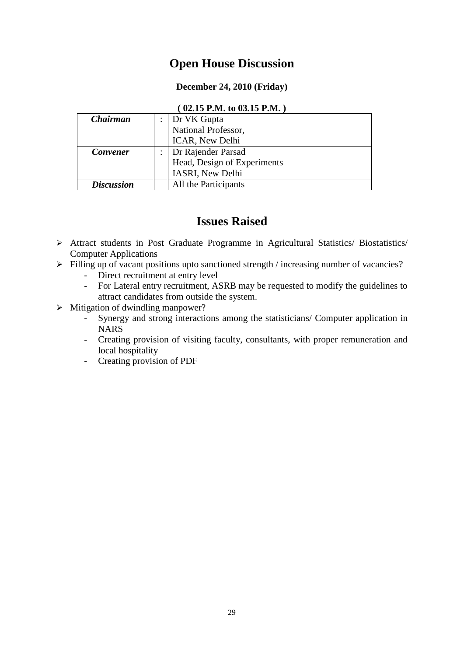## **Open House Discussion**

#### **December 24, 2010 (Friday)**

#### **( 02.15 P.M. to 03.15 P.M. )**

| <b>Chairman</b>   | : $\vert$ Dr VK Gupta       |
|-------------------|-----------------------------|
|                   | National Professor,         |
|                   | ICAR, New Delhi             |
| <b>Convener</b>   | Dr Rajender Parsad          |
|                   | Head, Design of Experiments |
|                   | IASRI, New Delhi            |
| <b>Discussion</b> | All the Participants        |

## **Issues Raised**

- Attract students in Post Graduate Programme in Agricultural Statistics/ Biostatistics/ Computer Applications
- $\triangleright$  Filling up of vacant positions upto sanctioned strength / increasing number of vacancies?
	- Direct recruitment at entry level
	- For Lateral entry recruitment, ASRB may be requested to modify the guidelines to attract candidates from outside the system.
- $\triangleright$  Mitigation of dwindling manpower?
	- Synergy and strong interactions among the statisticians/ Computer application in **NARS**
	- Creating provision of visiting faculty, consultants, with proper remuneration and local hospitality
	- Creating provision of PDF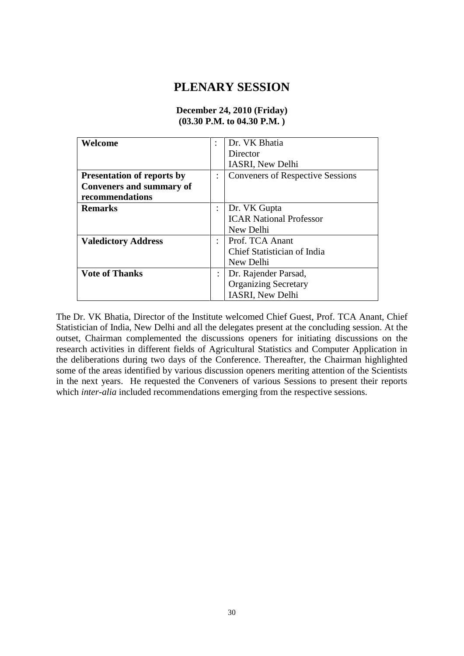## **PLENARY SESSION**

#### **Welcome** : Dr. VK Bhatia **Director** IASRI, New Delhi **Presentation of reports by**  $\cdot$ **Conveners and summary of recommendations** : Conveners of Respective Sessions **Remarks** : Dr. VK Gupta ICAR National Professor New Delhi<br>Prof. TCA Anant **Valedictory Address** : Chief Statistician of India New Delhi **Vote of Thanks** : Dr. Rajender Parsad, Organizing Secretary IASRI, New Delhi

#### **December 24, 2010 (Friday) (03.30 P.M. to 04.30 P.M. )**

The Dr. VK Bhatia, Director of the Institute welcomed Chief Guest, Prof. TCA Anant, Chief Statistician of India, New Delhi and all the delegates present at the concluding session. At the outset, Chairman complemented the discussions openers for initiating discussions on the research activities in different fields of Agricultural Statistics and Computer Application in the deliberations during two days of the Conference. Thereafter, the Chairman highlighted some of the areas identified by various discussion openers meriting attention of the Scientists in the next years. He requested the Conveners of various Sessions to present their reports which *inter-alia* included recommendations emerging from the respective sessions.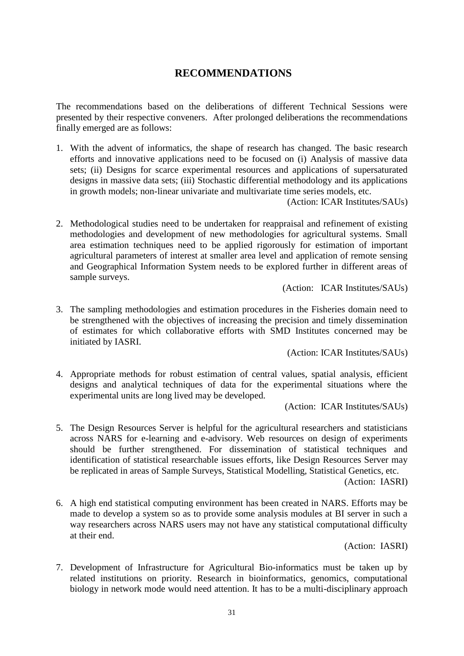#### **RECOMMENDATIONS**

The recommendations based on the deliberations of different Technical Sessions were presented by their respective conveners. After prolonged deliberations the recommendations finally emerged are as follows:

1. With the advent of informatics, the shape of research has changed. The basic research efforts and innovative applications need to be focused on (i) Analysis of massive data sets; (ii) Designs for scarce experimental resources and applications of supersaturated designs in massive data sets; (iii) Stochastic differential methodology and its applications in growth models; non-linear univariate and multivariate time series models, etc.

(Action: ICAR Institutes/SAUs)

2. Methodological studies need to be undertaken for reappraisal and refinement of existing methodologies and development of new methodologies for agricultural systems. Small area estimation techniques need to be applied rigorously for estimation of important agricultural parameters of interest at smaller area level and application of remote sensing and Geographical Information System needs to be explored further in different areas of sample surveys.

(Action: ICAR Institutes/SAUs)

3. The sampling methodologies and estimation procedures in the Fisheries domain need to be strengthened with the objectives of increasing the precision and timely dissemination of estimates for which collaborative efforts with SMD Institutes concerned may be initiated by IASRI.

(Action: ICAR Institutes/SAUs)

4. Appropriate methods for robust estimation of central values, spatial analysis, efficient designs and analytical techniques of data for the experimental situations where the experimental units are long lived may be developed.

(Action: ICAR Institutes/SAUs)

5. The Design Resources Server is helpful for the agricultural researchers and statisticians across NARS for e-learning and e-advisory. Web resources on design of experiments should be further strengthened. For dissemination of statistical techniques and identification of statistical researchable issues efforts, like Design Resources Server may be replicated in areas of Sample Surveys, Statistical Modelling, Statistical Genetics, etc.

(Action: IASRI)

6. A high end statistical computing environment has been created in NARS. Efforts may be made to develop a system so as to provide some analysis modules at BI server in such a way researchers across NARS users may not have any statistical computational difficulty at their end.

(Action: IASRI)

7. Development of Infrastructure for Agricultural Bio-informatics must be taken up by related institutions on priority. Research in bioinformatics, genomics, computational biology in network mode would need attention. It has to be a multi-disciplinary approach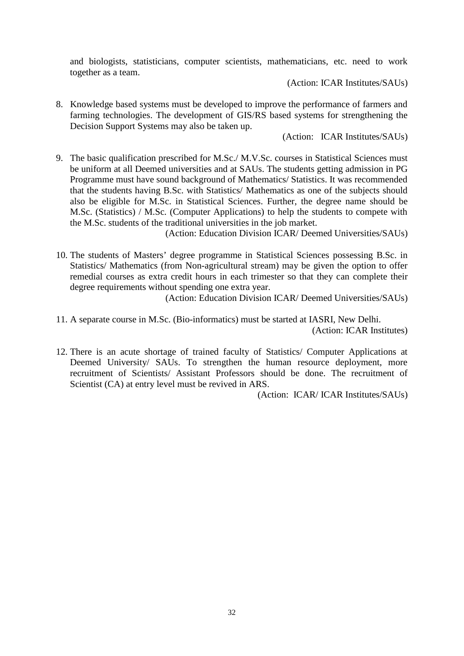and biologists, statisticians, computer scientists, mathematicians, etc. need to work together as a team.

(Action: ICAR Institutes/SAUs)

8. Knowledge based systems must be developed to improve the performance of farmers and farming technologies. The development of GIS/RS based systems for strengthening the Decision Support Systems may also be taken up.

(Action: ICAR Institutes/SAUs)

9. The basic qualification prescribed for M.Sc./ M.V.Sc. courses in Statistical Sciences must be uniform at all Deemed universities and at SAUs. The students getting admission in PG Programme must have sound background of Mathematics/ Statistics. It was recommended that the students having B.Sc. with Statistics/ Mathematics as one of the subjects should also be eligible for M.Sc. in Statistical Sciences. Further, the degree name should be M.Sc. (Statistics) / M.Sc. (Computer Applications) to help the students to compete with the M.Sc. students of the traditional universities in the job market.

(Action: Education Division ICAR/ Deemed Universities/SAUs)

10. The students of Masters' degree programme in Statistical Sciences possessing B.Sc. in Statistics/ Mathematics (from Non-agricultural stream) may be given the option to offer remedial courses as extra credit hours in each trimester so that they can complete their degree requirements without spending one extra year.

(Action: Education Division ICAR/ Deemed Universities/SAUs)

- 11. A separate course in M.Sc. (Bio-informatics) must be started at IASRI, New Delhi. (Action: ICAR Institutes)
- 12. There is an acute shortage of trained faculty of Statistics/ Computer Applications at Deemed University/ SAUs. To strengthen the human resource deployment, more recruitment of Scientists/ Assistant Professors should be done. The recruitment of Scientist (CA) at entry level must be revived in ARS.

(Action: ICAR/ ICAR Institutes/SAUs)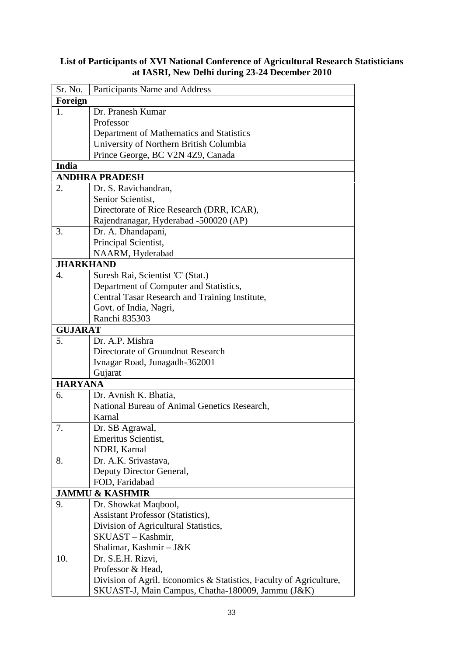#### **List of Participants of XVI National Conference of Agricultural Research Statisticians at IASRI, New Delhi during 23-24 December 2010**

| Sr. No.          | Participants Name and Address                                      |
|------------------|--------------------------------------------------------------------|
| Foreign          |                                                                    |
| 1.               | Dr. Pranesh Kumar                                                  |
|                  | Professor                                                          |
|                  | Department of Mathematics and Statistics                           |
|                  | University of Northern British Columbia                            |
|                  | Prince George, BC V2N 4Z9, Canada                                  |
| <b>India</b>     |                                                                    |
|                  | <b>ANDHRA PRADESH</b>                                              |
| 2.               | Dr. S. Ravichandran,                                               |
|                  | Senior Scientist,                                                  |
|                  | Directorate of Rice Research (DRR, ICAR),                          |
|                  | Rajendranagar, Hyderabad -500020 (AP)                              |
| 3.               | Dr. A. Dhandapani,                                                 |
|                  | Principal Scientist,                                               |
|                  | NAARM, Hyderabad                                                   |
| <b>JHARKHAND</b> |                                                                    |
| 4.               | Suresh Rai, Scientist 'C' (Stat.)                                  |
|                  | Department of Computer and Statistics,                             |
|                  | Central Tasar Research and Training Institute,                     |
|                  | Govt. of India, Nagri,                                             |
|                  | Ranchi 835303                                                      |
| <b>GUJARAT</b>   |                                                                    |
| 5.               | Dr. A.P. Mishra                                                    |
|                  | Directorate of Groundnut Research                                  |
|                  | Ivnagar Road, Junagadh-362001                                      |
| <b>HARYANA</b>   | Gujarat                                                            |
| 6.               | Dr. Avnish K. Bhatia,                                              |
|                  | National Bureau of Animal Genetics Research,                       |
|                  | Karnal                                                             |
| 7.               | Dr. SB Agrawal,                                                    |
|                  | Emeritus Scientist,                                                |
|                  | NDRI, Karnal                                                       |
| 8.               | Dr. A.K. Srivastava,                                               |
|                  | Deputy Director General,                                           |
|                  | FOD, Faridabad                                                     |
|                  | <b>JAMMU &amp; KASHMIR</b>                                         |
| 9.               | Dr. Showkat Maqbool,                                               |
|                  | <b>Assistant Professor (Statistics),</b>                           |
|                  | Division of Agricultural Statistics,                               |
|                  | SKUAST – Kashmir,                                                  |
|                  | Shalimar, Kashmir - J&K                                            |
| 10.              | Dr. S.E.H. Rizvi,                                                  |
|                  | Professor & Head,                                                  |
|                  | Division of Agril. Economics & Statistics, Faculty of Agriculture, |
|                  | SKUAST-J, Main Campus, Chatha-180009, Jammu (J&K)                  |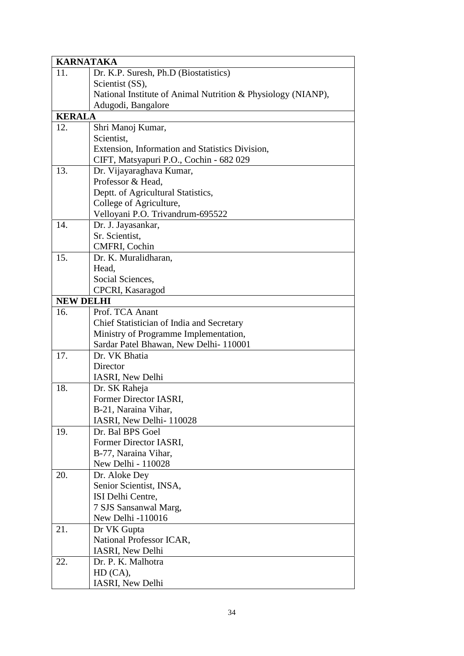| <b>KARNATAKA</b> |                                                              |
|------------------|--------------------------------------------------------------|
| 11.              | Dr. K.P. Suresh, Ph.D (Biostatistics)                        |
|                  | Scientist (SS),                                              |
|                  | National Institute of Animal Nutrition & Physiology (NIANP), |
|                  | Adugodi, Bangalore                                           |
| <b>KERALA</b>    |                                                              |
| 12.              | Shri Manoj Kumar,                                            |
|                  | Scientist,                                                   |
|                  | Extension, Information and Statistics Division,              |
|                  | CIFT, Matsyapuri P.O., Cochin - 682 029                      |
| 13.              | Dr. Vijayaraghava Kumar,                                     |
|                  | Professor & Head,                                            |
|                  | Deptt. of Agricultural Statistics,                           |
|                  | College of Agriculture,                                      |
|                  | Velloyani P.O. Trivandrum-695522                             |
| 14.              | Dr. J. Jayasankar,                                           |
|                  | Sr. Scientist,                                               |
|                  | CMFRI, Cochin                                                |
| 15.              | Dr. K. Muralidharan,                                         |
|                  | Head,                                                        |
|                  | Social Sciences,                                             |
|                  | CPCRI, Kasaragod                                             |
| <b>NEW DELHI</b> |                                                              |
| 16.              | Prof. TCA Anant                                              |
|                  | Chief Statistician of India and Secretary                    |
|                  | Ministry of Programme Implementation,                        |
| 17.              | Sardar Patel Bhawan, New Delhi-110001<br>Dr. VK Bhatia       |
|                  | Director                                                     |
|                  | IASRI, New Delhi                                             |
| 18.              | Dr. SK Raheja                                                |
|                  | Former Director IASRI,                                       |
|                  | B-21, Naraina Vihar,                                         |
|                  | IASRI, New Delhi-110028                                      |
| 19.              | Dr. Bal BPS Goel                                             |
|                  | Former Director IASRI,                                       |
|                  | B-77, Naraina Vihar,                                         |
|                  | New Delhi - 110028                                           |
| 20.              | Dr. Aloke Dey                                                |
|                  | Senior Scientist, INSA,                                      |
|                  | ISI Delhi Centre,                                            |
|                  | 7 SJS Sansanwal Marg,                                        |
|                  | New Delhi -110016                                            |
| 21.              | Dr VK Gupta                                                  |
|                  | National Professor ICAR,                                     |
|                  | <b>IASRI, New Delhi</b>                                      |
| 22.              | Dr. P. K. Malhotra                                           |
|                  | HD(CA),                                                      |
|                  | IASRI, New Delhi                                             |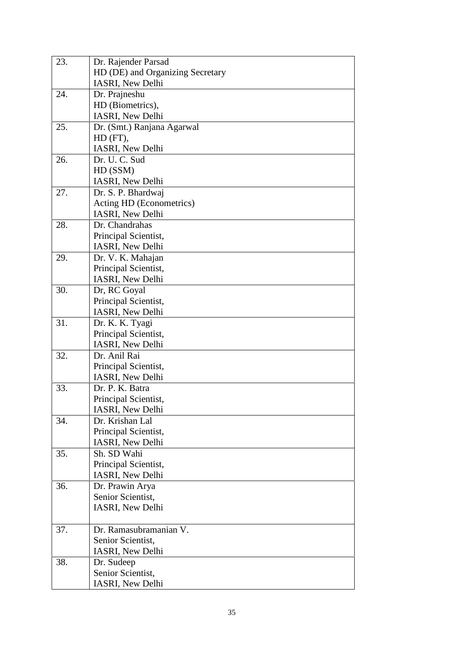| 23. | Dr. Rajender Parsad                      |
|-----|------------------------------------------|
|     | HD (DE) and Organizing Secretary         |
|     | IASRI, New Delhi                         |
| 24. | Dr. Prajneshu                            |
|     | HD (Biometrics),                         |
|     | IASRI, New Delhi                         |
| 25. | Dr. (Smt.) Ranjana Agarwal               |
|     | HD (FT),                                 |
|     | IASRI, New Delhi                         |
| 26. | Dr. U. C. Sud                            |
|     | HD (SSM)                                 |
|     | IASRI, New Delhi                         |
| 27. | Dr. S. P. Bhardwaj                       |
|     | Acting HD (Econometrics)                 |
|     | IASRI, New Delhi                         |
| 28. | Dr. Chandrahas                           |
|     | Principal Scientist,                     |
|     | IASRI, New Delhi                         |
| 29. | Dr. V. K. Mahajan                        |
|     | Principal Scientist,                     |
|     | IASRI, New Delhi                         |
| 30. | Dr, RC Goyal                             |
|     | Principal Scientist,                     |
|     | IASRI, New Delhi                         |
| 31. | Dr. K. K. Tyagi                          |
|     | Principal Scientist,                     |
|     | IASRI, New Delhi                         |
| 32. | Dr. Anil Rai                             |
|     | Principal Scientist,                     |
|     | IASRI, New Delhi                         |
| 33. | Dr. P. K. Batra                          |
|     | Principal Scientist,                     |
|     | IASRI, New Delhi<br>Dr. Krishan Lal      |
| 34. |                                          |
|     | Principal Scientist,<br>IASRI, New Delhi |
| 35. | Sh. SD Wahi                              |
|     | Principal Scientist,                     |
|     | IASRI, New Delhi                         |
| 36. | Dr. Prawin Arya                          |
|     | Senior Scientist,                        |
|     | IASRI, New Delhi                         |
|     |                                          |
| 37. | Dr. Ramasubramanian V.                   |
|     | Senior Scientist,                        |
|     | IASRI, New Delhi                         |
| 38. | Dr. Sudeep                               |
|     | Senior Scientist,                        |
|     | IASRI, New Delhi                         |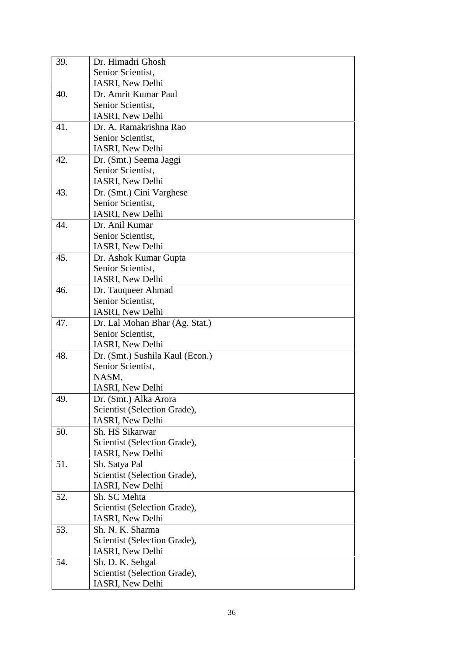| 39. | Dr. Himadri Ghosh               |  |  |  |
|-----|---------------------------------|--|--|--|
|     | Senior Scientist,               |  |  |  |
|     | <b>IASRI, New Delhi</b>         |  |  |  |
| 40. | Dr. Amrit Kumar Paul            |  |  |  |
|     | Senior Scientist,               |  |  |  |
|     | <b>IASRI, New Delhi</b>         |  |  |  |
| 41. | Dr. A. Ramakrishna Rao          |  |  |  |
|     | Senior Scientist,               |  |  |  |
|     | <b>IASRI, New Delhi</b>         |  |  |  |
| 42. | Dr. (Smt.) Seema Jaggi          |  |  |  |
|     | Senior Scientist,               |  |  |  |
|     | <b>IASRI, New Delhi</b>         |  |  |  |
| 43. | Dr. (Smt.) Cini Varghese        |  |  |  |
|     | Senior Scientist,               |  |  |  |
|     | IASRI, New Delhi                |  |  |  |
| 44. | Dr. Anil Kumar                  |  |  |  |
|     | Senior Scientist,               |  |  |  |
|     | IASRI, New Delhi                |  |  |  |
| 45. | Dr. Ashok Kumar Gupta           |  |  |  |
|     | Senior Scientist,               |  |  |  |
|     | IASRI, New Delhi                |  |  |  |
| 46. | Dr. Tauqueer Ahmad              |  |  |  |
|     | Senior Scientist,               |  |  |  |
|     | IASRI, New Delhi                |  |  |  |
| 47. | Dr. Lal Mohan Bhar (Ag. Stat.)  |  |  |  |
|     | Senior Scientist,               |  |  |  |
|     | IASRI, New Delhi                |  |  |  |
| 48. | Dr. (Smt.) Sushila Kaul (Econ.) |  |  |  |
|     | Senior Scientist,               |  |  |  |
|     | NASM,                           |  |  |  |
|     | IASRI, New Delhi                |  |  |  |
| 49. | Dr. (Smt.) Alka Arora           |  |  |  |
|     | Scientist (Selection Grade),    |  |  |  |
|     | IASRI, New Delhi                |  |  |  |
| 50. | Sh. HS Sikarwar                 |  |  |  |
|     | Scientist (Selection Grade),    |  |  |  |
|     | IASRI, New Delhi                |  |  |  |
| 51. | Sh. Satya Pal                   |  |  |  |
|     | Scientist (Selection Grade),    |  |  |  |
|     | IASRI, New Delhi                |  |  |  |
| 52. | Sh. SC Mehta                    |  |  |  |
|     | Scientist (Selection Grade),    |  |  |  |
|     | IASRI, New Delhi                |  |  |  |
| 53. | Sh. N. K. Sharma                |  |  |  |
|     | Scientist (Selection Grade),    |  |  |  |
|     | IASRI, New Delhi                |  |  |  |
| 54. | Sh. D. K. Sehgal                |  |  |  |
|     | Scientist (Selection Grade),    |  |  |  |
|     | IASRI, New Delhi                |  |  |  |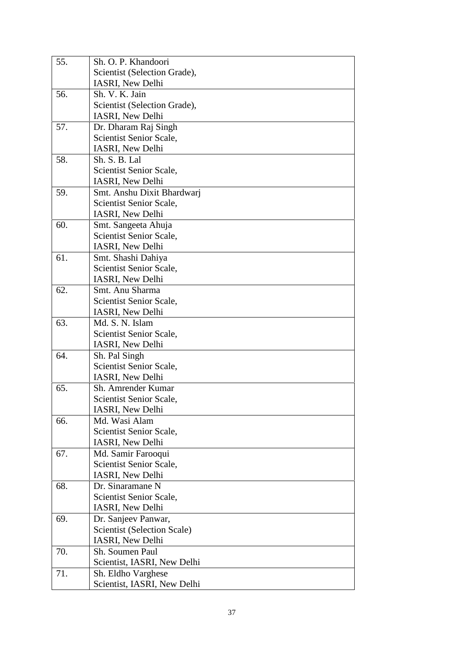| 55. | Sh. O. P. Khandoori                                |
|-----|----------------------------------------------------|
|     | Scientist (Selection Grade),                       |
|     | IASRI, New Delhi                                   |
| 56. | Sh. V. K. Jain                                     |
|     | Scientist (Selection Grade),                       |
|     | IASRI, New Delhi                                   |
| 57. | Dr. Dharam Raj Singh                               |
|     | Scientist Senior Scale,                            |
|     | IASRI, New Delhi                                   |
| 58. | Sh. S. B. Lal                                      |
|     | Scientist Senior Scale,                            |
|     | IASRI, New Delhi                                   |
| 59. | Smt. Anshu Dixit Bhardwarj                         |
|     | Scientist Senior Scale,                            |
|     | IASRI, New Delhi                                   |
| 60. | Smt. Sangeeta Ahuja                                |
|     | Scientist Senior Scale,                            |
|     | IASRI, New Delhi                                   |
| 61. | Smt. Shashi Dahiya                                 |
|     | Scientist Senior Scale,                            |
|     | IASRI, New Delhi                                   |
| 62. | Smt. Anu Sharma                                    |
|     | Scientist Senior Scale,                            |
|     | IASRI, New Delhi                                   |
| 63. | Md. S. N. Islam                                    |
|     | Scientist Senior Scale,                            |
|     | IASRI, New Delhi                                   |
| 64. | Sh. Pal Singh                                      |
|     | Scientist Senior Scale,                            |
|     | IASRI, New Delhi                                   |
| 65. | Sh. Amrender Kumar                                 |
|     | Scientist Senior Scale,                            |
|     | IASRI, New Delhi                                   |
| 66. | Md. Wasi Alam                                      |
|     | Scientist Senior Scale,                            |
|     | IASRI, New Delhi                                   |
| 67. | Md. Samir Farooqui                                 |
|     | Scientist Senior Scale,<br><b>IASRI, New Delhi</b> |
| 68. | Dr. Sinaramane N                                   |
|     | Scientist Senior Scale,                            |
|     | IASRI, New Delhi                                   |
| 69. | Dr. Sanjeev Panwar,                                |
|     | <b>Scientist (Selection Scale)</b>                 |
|     | <b>IASRI, New Delhi</b>                            |
| 70. | Sh. Soumen Paul                                    |
|     | Scientist, IASRI, New Delhi                        |
| 71. | Sh. Eldho Varghese                                 |
|     | Scientist, IASRI, New Delhi                        |
|     |                                                    |